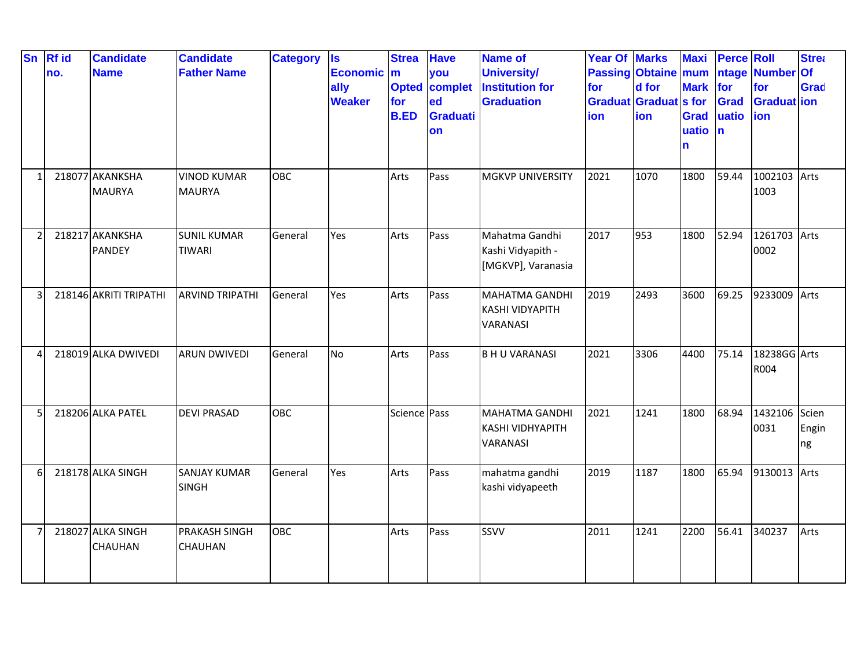| <b>Sn</b> | <b>Rf</b> id<br>no. | <b>Candidate</b><br><b>Name</b>  | <b>Candidate</b><br><b>Father Name</b> | <b>Category</b> | <b>Is</b><br><b>Economic</b><br>ally<br><b>Weaker</b> | <b>Strea</b><br>$\mathbf{m}$<br><b>Opted</b><br>for<br><b>B.ED</b> | <b>Have</b><br>you<br>complet<br>ed<br><b>Graduati</b><br>on | <b>Name of</b><br><b>University/</b><br><b>Institution for</b><br><b>Graduation</b> | <b>Year Of Marks</b><br><b>Passing Obtaine mum</b><br>for<br><b>Graduat Graduat s for</b><br>ion | d for<br>ion | <b>Maxi</b><br>Mark for<br><b>Grad</b><br>uatio<br>n | <b>Perce Roll</b><br>ntage<br><b>Grad</b><br>uatio<br>$\mathbf n$ | <b>Number Of</b><br>for<br><b>Graduat</b> ion<br>ion | <b>Strea</b><br><b>Grad</b> |
|-----------|---------------------|----------------------------------|----------------------------------------|-----------------|-------------------------------------------------------|--------------------------------------------------------------------|--------------------------------------------------------------|-------------------------------------------------------------------------------------|--------------------------------------------------------------------------------------------------|--------------|------------------------------------------------------|-------------------------------------------------------------------|------------------------------------------------------|-----------------------------|
|           |                     | 218077 AKANKSHA<br><b>MAURYA</b> | <b>VINOD KUMAR</b><br><b>MAURYA</b>    | <b>OBC</b>      |                                                       | Arts                                                               | Pass                                                         | <b>MGKVP UNIVERSITY</b>                                                             | 2021                                                                                             | 1070         | 1800                                                 | 59.44                                                             | 1002103 Arts<br>1003                                 |                             |
|           |                     | 218217 AKANKSHA<br><b>PANDEY</b> | <b>SUNIL KUMAR</b><br><b>TIWARI</b>    | General         | Yes                                                   | Arts                                                               | Pass                                                         | Mahatma Gandhi<br>Kashi Vidyapith -<br>[MGKVP], Varanasia                           | 2017                                                                                             | 953          | 1800                                                 | 52.94                                                             | 1261703 Arts<br>0002                                 |                             |
|           |                     | 218146 AKRITI TRIPATHI           | <b>ARVIND TRIPATHI</b>                 | General         | Yes                                                   | Arts                                                               | Pass                                                         | <b>MAHATMA GANDHI</b><br><b>KASHI VIDYAPITH</b><br><b>VARANASI</b>                  | 2019                                                                                             | 2493         | 3600                                                 | 69.25                                                             | 9233009 Arts                                         |                             |
|           |                     | 218019 ALKA DWIVEDI              | <b>ARUN DWIVEDI</b>                    | General         | No                                                    | Arts                                                               | Pass                                                         | <b>BHU VARANASI</b>                                                                 | 2021                                                                                             | 3306         | 4400                                                 | 75.14                                                             | 18238GG Arts<br>R004                                 |                             |
|           |                     | 218206 ALKA PATEL                | <b>DEVI PRASAD</b>                     | OBC             |                                                       | Science Pass                                                       |                                                              | <b>MAHATMA GANDHI</b><br><b>KASHI VIDHYAPITH</b><br>VARANASI                        | 2021                                                                                             | 1241         | 1800                                                 | 68.94                                                             | 1432106<br>0031                                      | Scien<br>Engin<br>ng        |
| 6         |                     | 218178 ALKA SINGH                | <b>SANJAY KUMAR</b><br><b>SINGH</b>    | General         | Yes                                                   | Arts                                                               | Pass                                                         | mahatma gandhi<br>kashi vidyapeeth                                                  | 2019                                                                                             | 1187         | 1800                                                 | 65.94                                                             | 9130013 Arts                                         |                             |
|           |                     | 218027 ALKA SINGH<br>CHAUHAN     | <b>PRAKASH SINGH</b><br><b>CHAUHAN</b> | <b>OBC</b>      |                                                       | Arts                                                               | Pass                                                         | SSVV                                                                                | 2011                                                                                             | 1241         | 2200                                                 | 56.41                                                             | 340237                                               | Arts                        |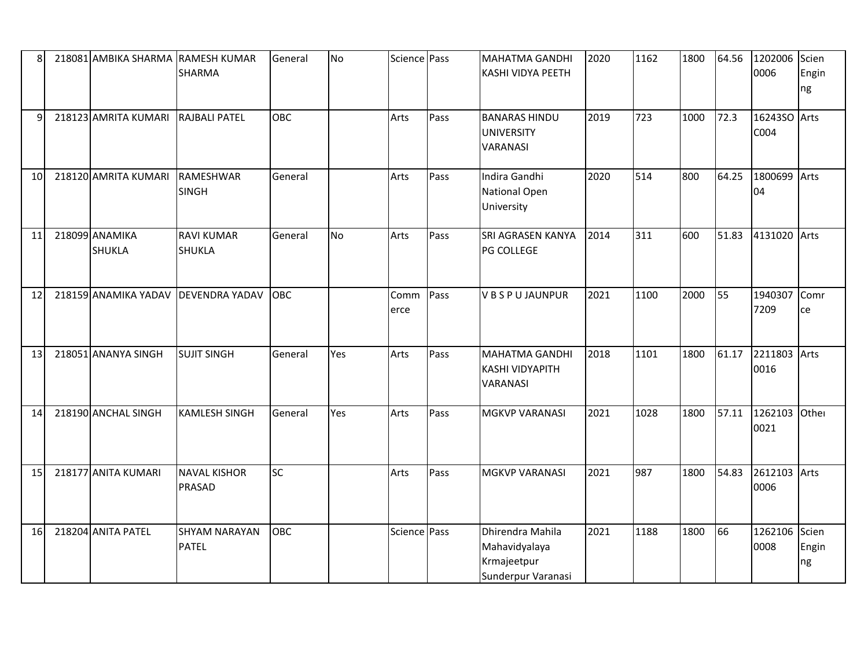| 8  | 218081 AMBIKA SHARMA RAMESH KUMAR  | <b>SHARMA</b>                        | General    | No        | Science Pass |      | <b>MAHATMA GANDHI</b><br>KASHI VIDYA PEETH                             | 2020 | 1162 | 1800 | 64.56 | 1202006<br>0006       | Scien<br>Engin<br>ng |
|----|------------------------------------|--------------------------------------|------------|-----------|--------------|------|------------------------------------------------------------------------|------|------|------|-------|-----------------------|----------------------|
| q  | 218123 AMRITA KUMARI RAJBALI PATEL |                                      | OBC        |           | Arts         | Pass | <b>BANARAS HINDU</b><br><b>UNIVERSITY</b><br>VARANASI                  | 2019 | 723  | 1000 | 72.3  | 16243SO Arts<br>C004  |                      |
| 10 | 218120 AMRITA KUMARI               | <b>RAMESHWAR</b><br><b>SINGH</b>     | General    |           | Arts         | Pass | Indira Gandhi<br>National Open<br>University                           | 2020 | 514  | 800  | 64.25 | 1800699 Arts<br>04    |                      |
| 11 | 218099 ANAMIKA<br><b>SHUKLA</b>    | <b>RAVI KUMAR</b><br>SHUKLA          | General    | <b>No</b> | Arts         | Pass | SRI AGRASEN KANYA<br>PG COLLEGE                                        | 2014 | 311  | 600  | 51.83 | 4131020 Arts          |                      |
| 12 | 218159 ANAMIKA YADAV               | <b>DEVENDRA YADAV</b>                | OBC        |           | Comm<br>erce | Pass | <b>VBSPUJAUNPUR</b>                                                    | 2021 | 1100 | 2000 | 55    | 1940307<br>7209       | Comr<br>ce           |
| 13 | 218051 ANANYA SINGH                | <b>SUJIT SINGH</b>                   | General    | Yes       | Arts         | Pass | <b>MAHATMA GANDHI</b><br><b>KASHI VIDYAPITH</b><br>VARANASI            | 2018 | 1101 | 1800 | 61.17 | 2211803 Arts<br>0016  |                      |
| 14 | 218190 ANCHAL SINGH                | <b>KAMLESH SINGH</b>                 | General    | Yes       | Arts         | Pass | <b>MGKVP VARANASI</b>                                                  | 2021 | 1028 | 1800 | 57.11 | 1262103 Other<br>0021 |                      |
| 15 | 218177 ANITA KUMARI                | <b>NAVAL KISHOR</b><br>PRASAD        | SC         |           | Arts         | Pass | <b>MGKVP VARANASI</b>                                                  | 2021 | 987  | 1800 | 54.83 | 2612103 Arts<br>0006  |                      |
| 16 | 218204 ANITA PATEL                 | <b>SHYAM NARAYAN</b><br><b>PATEL</b> | <b>OBC</b> |           | Science Pass |      | Dhirendra Mahila<br>Mahavidyalaya<br>Krmajeetpur<br>Sunderpur Varanasi | 2021 | 1188 | 1800 | 66    | 1262106 Scien<br>0008 | Engin<br>ng          |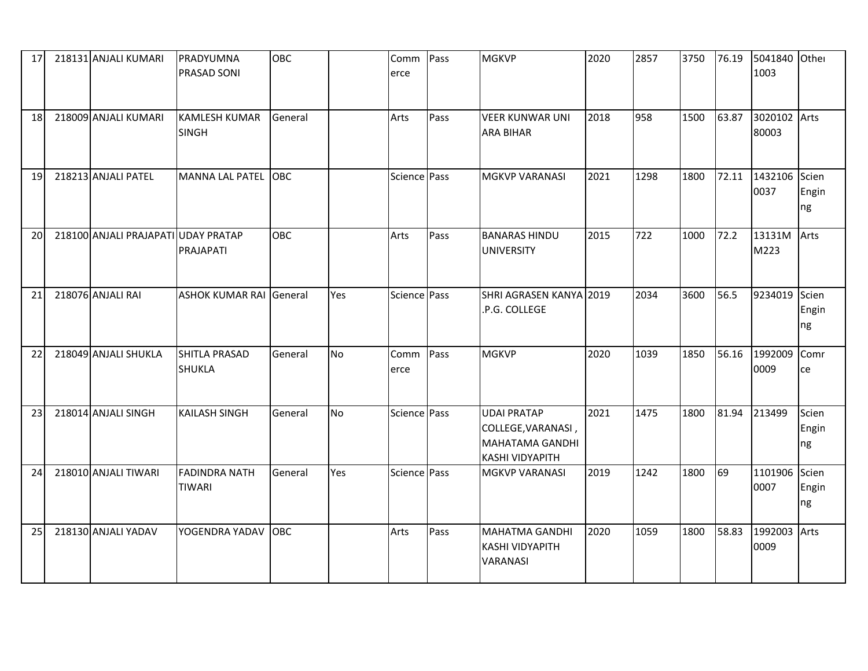| 17 | 218131 ANJALI KUMARI                | PRADYUMNA<br><b>PRASAD SONI</b>       | <b>OBC</b> |           | Comm<br>erce | Pass | <b>MGKVP</b>                                                                                 | 2020 | 2857 | 3750 | 76.19 | 5041840 Other<br>1003       |                      |
|----|-------------------------------------|---------------------------------------|------------|-----------|--------------|------|----------------------------------------------------------------------------------------------|------|------|------|-------|-----------------------------|----------------------|
| 18 | 218009 ANJALI KUMARI                | <b>KAMLESH KUMAR</b><br><b>SINGH</b>  | General    |           | Arts         | Pass | <b>VEER KUNWAR UNI</b><br><b>ARA BIHAR</b>                                                   | 2018 | 958  | 1500 | 63.87 | 3020102 Arts<br>80003       |                      |
| 19 | 218213 ANJALI PATEL                 | MANNA LAL PATEL OBC                   |            |           | Science Pass |      | <b>MGKVP VARANASI</b>                                                                        | 2021 | 1298 | 1800 |       | 72.11 1432106 Scien<br>0037 | Engin<br>ng          |
| 20 | 218100 ANJALI PRAJAPATI UDAY PRATAP | PRAJAPATI                             | <b>OBC</b> |           | Arts         | Pass | <b>BANARAS HINDU</b><br><b>UNIVERSITY</b>                                                    | 2015 | 722  | 1000 | 72.2  | 13131M<br>M223              | Arts                 |
| 21 | 218076 ANJALI RAI                   | <b>ASHOK KUMAR RAI General</b>        |            | Yes       | Science Pass |      | SHRI AGRASEN KANYA 2019<br>.P.G. COLLEGE                                                     |      | 2034 | 3600 | 56.5  | 9234019                     | Scien<br>Engin<br>ng |
| 22 | 218049 ANJALI SHUKLA                | <b>SHITLA PRASAD</b><br><b>SHUKLA</b> | General    | <b>No</b> | Comm<br>erce | Pass | <b>MGKVP</b>                                                                                 | 2020 | 1039 | 1850 | 56.16 | 1992009<br>0009             | Comr<br>ce           |
| 23 | 218014 ANJALI SINGH                 | <b>KAILASH SINGH</b>                  | General    | <b>No</b> | Science Pass |      | <b>UDAI PRATAP</b><br>COLLEGE, VARANASI,<br><b>MAHATAMA GANDHI</b><br><b>KASHI VIDYAPITH</b> | 2021 | 1475 | 1800 | 81.94 | 213499                      | Scien<br>Engin<br>ng |
| 24 | 218010 ANJALI TIWARI                | <b>FADINDRA NATH</b><br><b>TIWARI</b> | General    | Yes       | Science Pass |      | <b>MGKVP VARANASI</b>                                                                        | 2019 | 1242 | 1800 | 69    | 1101906<br>0007             | Scien<br>Engin<br>ng |
| 25 | 218130 ANJALI YADAV                 | YOGENDRA YADAV                        | <b>OBC</b> |           | Arts         | Pass | <b>MAHATMA GANDHI</b><br><b>KASHI VIDYAPITH</b><br><b>VARANASI</b>                           | 2020 | 1059 | 1800 | 58.83 | 1992003 Arts<br>0009        |                      |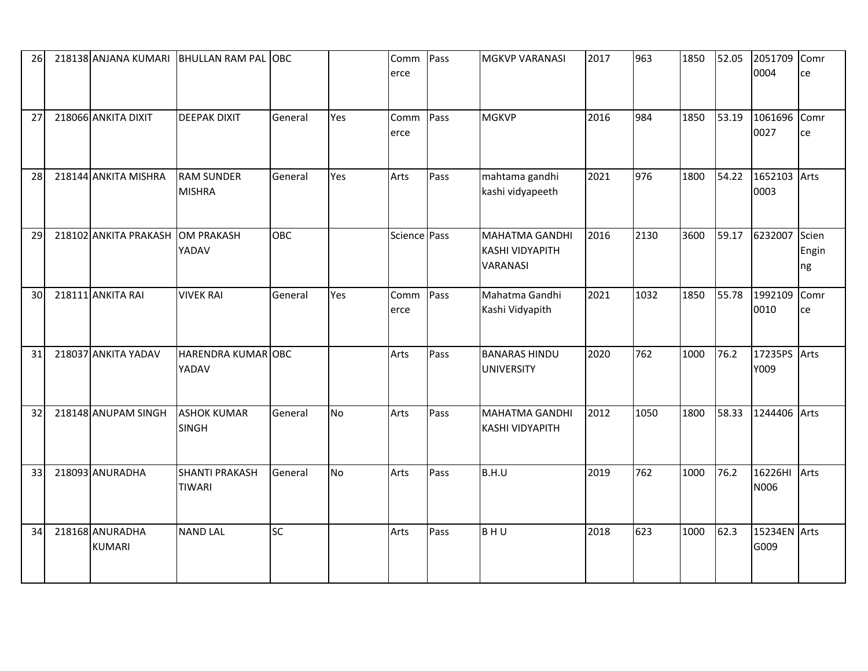| 26 |                                  | 218138 ANJANA KUMARI BHULLAN RAM PAL   | <b>IOBC</b> |     | Comm<br>erce | Pass | <b>MGKVP VARANASI</b>                                       | 2017 | 963  | 1850 | 52.05 | 2051709<br>0004      | Comr<br>ce           |
|----|----------------------------------|----------------------------------------|-------------|-----|--------------|------|-------------------------------------------------------------|------|------|------|-------|----------------------|----------------------|
| 27 | 218066 ANKITA DIXIT              | <b>DEEPAK DIXIT</b>                    | General     | Yes | Comm<br>erce | Pass | <b>MGKVP</b>                                                | 2016 | 984  | 1850 | 53.19 | 1061696<br>0027      | Comr<br>ce           |
| 28 | 218144 ANKITA MISHRA             | <b>RAM SUNDER</b><br><b>MISHRA</b>     | General     | Yes | Arts         | Pass | mahtama gandhi<br>kashi vidyapeeth                          | 2021 | 976  | 1800 | 54.22 | 1652103<br>0003      | Arts                 |
| 29 | 218102 ANKITA PRAKASH            | <b>OM PRAKASH</b><br>YADAV             | OBC         |     | Science Pass |      | <b>MAHATMA GANDHI</b><br><b>KASHI VIDYAPITH</b><br>VARANASI | 2016 | 2130 | 3600 | 59.17 | 6232007              | Scien<br>Engin<br>ng |
| 30 | 218111 ANKITA RAI                | <b>VIVEK RAI</b>                       | General     | Yes | Comm<br>erce | Pass | Mahatma Gandhi<br>Kashi Vidyapith                           | 2021 | 1032 | 1850 | 55.78 | 1992109<br>0010      | Comr<br>ce           |
| 31 | 218037 ANKITA YADAV              | <b>HARENDRA KUMAR OBC</b><br>YADAV     |             |     | Arts         | Pass | <b>BANARAS HINDU</b><br><b>UNIVERSITY</b>                   | 2020 | 762  | 1000 | 76.2  | 17235PS<br>Y009      | Arts                 |
| 32 | 218148 ANUPAM SINGH              | <b>ASHOK KUMAR</b><br><b>SINGH</b>     | General     | No  | Arts         | Pass | <b>MAHATMA GANDHI</b><br><b>KASHI VIDYAPITH</b>             | 2012 | 1050 | 1800 | 58.33 | 1244406 Arts         |                      |
| 33 | 218093 ANURADHA                  | <b>SHANTI PRAKASH</b><br><b>TIWARI</b> | General     | No  | Arts         | Pass | B.H.U                                                       | 2019 | 762  | 1000 | 76.2  | 16226HI<br>N006      | Arts                 |
| 34 | 218168 ANURADHA<br><b>KUMARI</b> | <b>NAND LAL</b>                        | <b>SC</b>   |     | Arts         | Pass | BHU                                                         | 2018 | 623  | 1000 | 62.3  | 15234EN Arts<br>G009 |                      |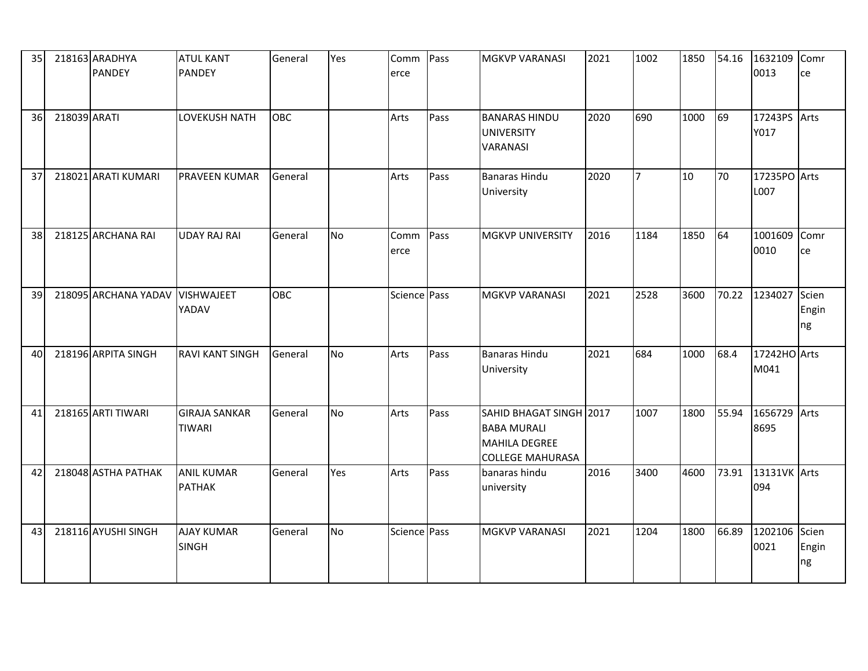| 35 |              | 218163 ARADHYA<br><b>PANDEY</b> | <b>ATUL KANT</b><br><b>PANDEY</b>     | General    | Yes       | Comm<br>erce | Pass | <b>MGKVP VARANASI</b>                                                                            | 2021 | 1002 | 1850 | 54.16 | 1632109<br>0013      | Comr<br>ce           |
|----|--------------|---------------------------------|---------------------------------------|------------|-----------|--------------|------|--------------------------------------------------------------------------------------------------|------|------|------|-------|----------------------|----------------------|
| 36 | 218039 ARATI |                                 | <b>LOVEKUSH NATH</b>                  | <b>OBC</b> |           | Arts         | Pass | <b>BANARAS HINDU</b><br><b>UNIVERSITY</b><br>VARANASI                                            | 2020 | 690  | 1000 | 69    | 17243PS<br>Y017      | Arts                 |
| 37 |              | 218021 ARATI KUMARI             | <b>PRAVEEN KUMAR</b>                  | General    |           | Arts         | Pass | <b>Banaras Hindu</b><br>University                                                               | 2020 | 17   | 10   | 70    | 17235PO Arts<br>L007 |                      |
| 38 |              | 218125 ARCHANA RAI              | <b>UDAY RAJ RAI</b>                   | General    | <b>No</b> | Comm<br>erce | Pass | <b>MGKVP UNIVERSITY</b>                                                                          | 2016 | 1184 | 1850 | 64    | 1001609<br>0010      | Comr<br>ce           |
| 39 |              | 218095 ARCHANA YADAV            | <b>VISHWAJEET</b><br>YADAV            | <b>OBC</b> |           | Science Pass |      | <b>MGKVP VARANASI</b>                                                                            | 2021 | 2528 | 3600 | 70.22 | 1234027              | Scien<br>Engin<br>ng |
| 40 |              | 218196 ARPITA SINGH             | <b>RAVI KANT SINGH</b>                | General    | <b>No</b> | Arts         | Pass | <b>Banaras Hindu</b><br>University                                                               | 2021 | 684  | 1000 | 68.4  | 17242HO Arts<br>M041 |                      |
| 41 |              | 218165 ARTI TIWARI              | <b>GIRAJA SANKAR</b><br><b>TIWARI</b> | General    | <b>No</b> | Arts         | Pass | SAHID BHAGAT SINGH 2017<br><b>BABA MURALI</b><br><b>MAHILA DEGREE</b><br><b>COLLEGE MAHURASA</b> |      | 1007 | 1800 | 55.94 | 1656729 Arts<br>8695 |                      |
| 42 |              | 218048 ASTHA PATHAK             | <b>ANIL KUMAR</b><br><b>PATHAK</b>    | General    | Yes       | Arts         | Pass | banaras hindu<br>university                                                                      | 2016 | 3400 | 4600 | 73.91 | 13131VK Arts<br>094  |                      |
| 43 |              | 218116 AYUSHI SINGH             | <b>AJAY KUMAR</b><br><b>SINGH</b>     | General    | <b>No</b> | Science Pass |      | <b>MGKVP VARANASI</b>                                                                            | 2021 | 1204 | 1800 | 66.89 | 1202106<br>0021      | Scien<br>Engin<br>ng |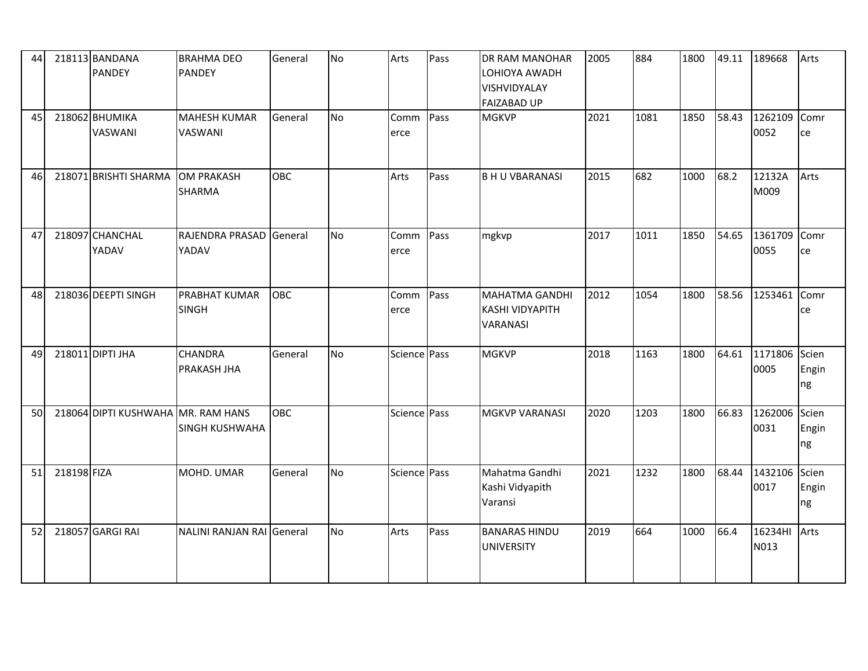| 44 |             | 218113 BANDANA<br><b>PANDEY</b>    | <b>BRAHMA DEO</b><br><b>PANDEY</b>    | General    | <b>No</b> | Arts         | Pass | <b>DR RAM MANOHAR</b><br>LOHIOYA AWADH<br>VISHVIDYALAY<br><b>FAIZABAD UP</b> | 2005 | 884  | 1800 | 49.11 | 189668                | Arts                 |
|----|-------------|------------------------------------|---------------------------------------|------------|-----------|--------------|------|------------------------------------------------------------------------------|------|------|------|-------|-----------------------|----------------------|
| 45 |             | 218062 BHUMIKA<br>VASWANI          | <b>MAHESH KUMAR</b><br><b>VASWANI</b> | General    | <b>No</b> | Comm<br>erce | Pass | <b>MGKVP</b>                                                                 | 2021 | 1081 | 1850 | 58.43 | 1262109<br>0052       | Comr<br>ce           |
| 46 |             | 218071 BRISHTI SHARMA              | <b>OM PRAKASH</b><br><b>SHARMA</b>    | OBC        |           | Arts         | Pass | <b>B H U VBARANASI</b>                                                       | 2015 | 682  | 1000 | 68.2  | 12132A<br>M009        | Arts                 |
| 47 |             | 218097 CHANCHAL<br>YADAV           | RAJENDRA PRASAD<br>YADAV              | General    | <b>No</b> | Comm<br>erce | Pass | mgkvp                                                                        | 2017 | 1011 | 1850 | 54.65 | 1361709<br>0055       | Comr<br>ce           |
| 48 |             | 218036 DEEPTI SINGH                | <b>PRABHAT KUMAR</b><br><b>SINGH</b>  | <b>OBC</b> |           | Comm<br>erce | Pass | <b>MAHATMA GANDHI</b><br><b>KASHI VIDYAPITH</b><br><b>VARANASI</b>           | 2012 | 1054 | 1800 | 58.56 | 1253461               | Comr<br>ce           |
| 49 |             | 218011 DIPTI JHA                   | <b>CHANDRA</b><br>PRAKASH JHA         | General    | <b>No</b> | Science Pass |      | <b>MGKVP</b>                                                                 | 2018 | 1163 | 1800 | 64.61 | 1171806 Scien<br>0005 | Engin<br>ng          |
| 50 |             | 218064 DIPTI KUSHWAHA MR. RAM HANS | <b>SINGH KUSHWAHA</b>                 | OBC        |           | Science Pass |      | <b>MGKVP VARANASI</b>                                                        | 2020 | 1203 | 1800 | 66.83 | 1262006 Scien<br>0031 | Engin<br>ng          |
| 51 | 218198 FIZA |                                    | MOHD. UMAR                            | General    | <b>No</b> | Science Pass |      | Mahatma Gandhi<br>Kashi Vidyapith<br>Varansi                                 | 2021 | 1232 | 1800 | 68.44 | 1432106<br>0017       | Scien<br>Engin<br>ng |
| 52 |             | 218057 GARGI RAI                   | NALINI RANJAN RAI General             |            | <b>No</b> | Arts         | Pass | <b>BANARAS HINDU</b><br><b>UNIVERSITY</b>                                    | 2019 | 664  | 1000 | 66.4  | 16234HI<br>N013       | Arts                 |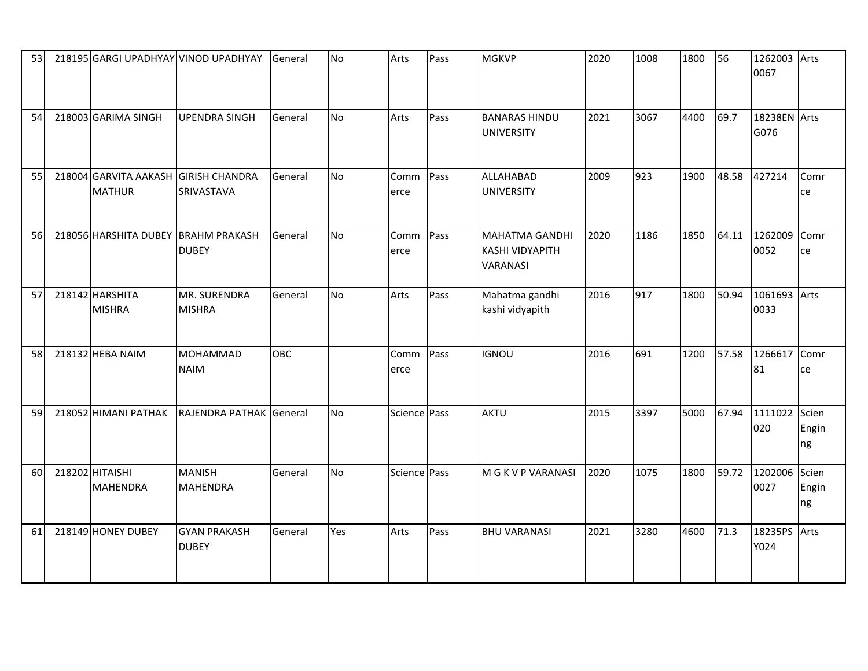| 53 |                                                       | 218195 GARGI UPADHYAY VINOD UPADHYAY | General    | No        | Arts         | Pass | <b>MGKVP</b>                                                | 2020 | 1008 | 1800 | 56    | 1262003<br>0067      | Arts                 |
|----|-------------------------------------------------------|--------------------------------------|------------|-----------|--------------|------|-------------------------------------------------------------|------|------|------|-------|----------------------|----------------------|
| 54 | 218003 GARIMA SINGH                                   | <b>UPENDRA SINGH</b>                 | General    | <b>No</b> | Arts         | Pass | <b>BANARAS HINDU</b><br>UNIVERSITY                          | 2021 | 3067 | 4400 | 69.7  | 18238EN Arts<br>G076 |                      |
| 55 | 218004 GARVITA AAKASH GIRISH CHANDRA<br><b>MATHUR</b> | SRIVASTAVA                           | General    | <b>No</b> | Comm<br>erce | Pass | ALLAHABAD<br><b>UNIVERSITY</b>                              | 2009 | 923  | 1900 | 48.58 | 427214               | Comr<br>ce           |
| 56 | 218056 HARSHITA DUBEY BRAHM PRAKASH                   | <b>DUBEY</b>                         | General    | <b>No</b> | Comm<br>erce | Pass | <b>MAHATMA GANDHI</b><br><b>KASHI VIDYAPITH</b><br>VARANASI | 2020 | 1186 | 1850 | 64.11 | 1262009<br>0052      | Comr<br>ce           |
| 57 | 218142 HARSHITA<br><b>MISHRA</b>                      | MR. SURENDRA<br><b>MISHRA</b>        | General    | <b>No</b> | Arts         | Pass | Mahatma gandhi<br>kashi vidyapith                           | 2016 | 917  | 1800 | 50.94 | 1061693<br>0033      | Arts                 |
| 58 | 218132 HEBA NAIM                                      | <b>MOHAMMAD</b><br><b>NAIM</b>       | <b>OBC</b> |           | Comm<br>erce | Pass | <b>IGNOU</b>                                                | 2016 | 691  | 1200 | 57.58 | 1266617<br>81        | Comr<br>ce           |
| 59 | 218052 HIMANI PATHAK                                  | RAJENDRA PATHAK General              |            | <b>No</b> | Science Pass |      | <b>AKTU</b>                                                 | 2015 | 3397 | 5000 | 67.94 | 1111022<br>020       | Scien<br>Engin<br>ng |
| 60 | 218202 HITAISHI<br><b>MAHENDRA</b>                    | <b>MANISH</b><br><b>MAHENDRA</b>     | General    | <b>No</b> | Science Pass |      | M G K V P VARANASI                                          | 2020 | 1075 | 1800 | 59.72 | 1202006<br>0027      | Scien<br>Engin<br>ng |
| 61 | 218149 HONEY DUBEY                                    | <b>GYAN PRAKASH</b><br><b>DUBEY</b>  | General    | Yes       | Arts         | Pass | <b>BHU VARANASI</b>                                         | 2021 | 3280 | 4600 | 71.3  | 18235PS<br>Y024      | Arts                 |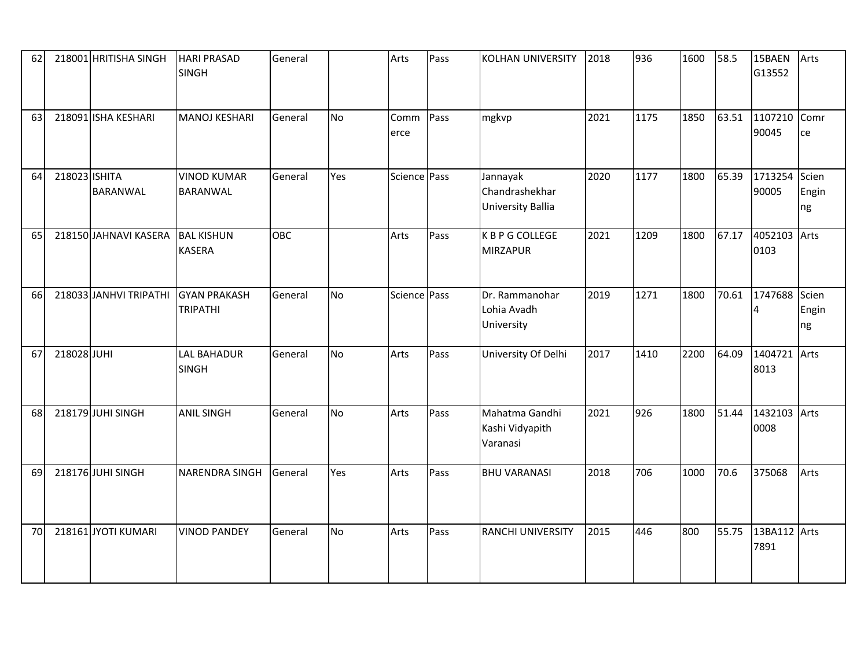| 62 |               | 218001 HRITISHA SINGH            | <b>HARI PRASAD</b><br><b>SINGH</b>     | General |           | Arts         | Pass | <b>KOLHAN UNIVERSITY</b>                        | 2018 | 936  | 1600 | 58.5  | 15BAEN<br>G13552     | Arts                 |
|----|---------------|----------------------------------|----------------------------------------|---------|-----------|--------------|------|-------------------------------------------------|------|------|------|-------|----------------------|----------------------|
| 63 |               | 218091 ISHA KESHARI              | MANOJ KESHARI                          | General | <b>No</b> | Comm<br>erce | Pass | mgkvp                                           | 2021 | 1175 | 1850 | 63.51 | 1107210<br>90045     | Comr<br>ce           |
| 64 | 218023 ISHITA | <b>BARANWAL</b>                  | <b>VINOD KUMAR</b><br><b>BARANWAL</b>  | General | Yes       | Science Pass |      | Jannayak<br>Chandrashekhar<br>University Ballia | 2020 | 1177 | 1800 | 65.39 | 1713254<br>90005     | Scien<br>Engin<br>ng |
| 65 |               | 218150 JAHNAVI KASERA BAL KISHUN | <b>KASERA</b>                          | OBC     |           | Arts         | Pass | K B P G COLLEGE<br><b>MIRZAPUR</b>              | 2021 | 1209 | 1800 | 67.17 | 4052103<br>0103      | Arts                 |
| 66 |               | 218033 JANHVI TRIPATHI           | <b>GYAN PRAKASH</b><br><b>TRIPATHI</b> | General | <b>No</b> | Science Pass |      | Dr. Rammanohar<br>Lohia Avadh<br>University     | 2019 | 1271 | 1800 | 70.61 | 1747688              | Scien<br>Engin<br>ng |
| 67 | 218028 JUHI   |                                  | <b>LAL BAHADUR</b><br><b>SINGH</b>     | General | <b>No</b> | Arts         | Pass | University Of Delhi                             | 2017 | 1410 | 2200 | 64.09 | 1404721<br>8013      | Arts                 |
| 68 |               | 218179 JUHI SINGH                | <b>ANIL SINGH</b>                      | General | <b>No</b> | Arts         | Pass | Mahatma Gandhi<br>Kashi Vidyapith<br>Varanasi   | 2021 | 926  | 1800 | 51.44 | 1432103 Arts<br>0008 |                      |
| 69 |               | 218176 JUHI SINGH                | <b>NARENDRA SINGH</b>                  | General | Yes       | Arts         | Pass | <b>BHU VARANASI</b>                             | 2018 | 706  | 1000 | 70.6  | 375068               | Arts                 |
| 70 |               | 218161 JYOTI KUMARI              | <b>VINOD PANDEY</b>                    | General | <b>No</b> | Arts         | Pass | <b>RANCHI UNIVERSITY</b>                        | 2015 | 446  | 800  | 55.75 | 13BA112 Arts<br>7891 |                      |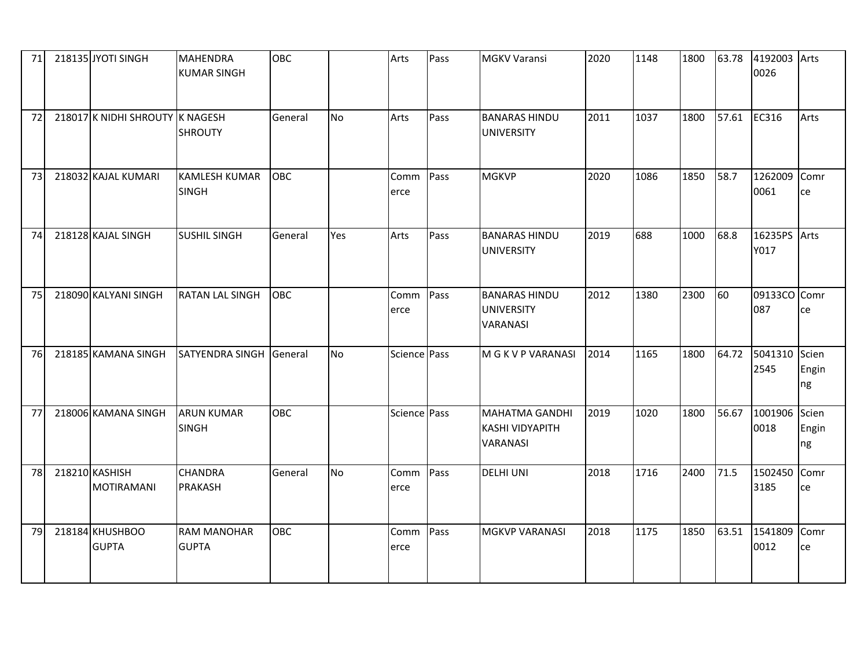| 71 | 218135 JYOTI SINGH                  | <b>MAHENDRA</b><br><b>KUMAR SINGH</b> | <b>OBC</b> |           | Arts         | Pass | <b>MGKV Varansi</b>                                         | 2020 | 1148 | 1800 | 63.78 | 4192003 Arts<br>0026  |             |
|----|-------------------------------------|---------------------------------------|------------|-----------|--------------|------|-------------------------------------------------------------|------|------|------|-------|-----------------------|-------------|
| 72 | 218017 K NIDHI SHROUTY K NAGESH     | <b>SHROUTY</b>                        | General    | <b>No</b> | Arts         | Pass | <b>BANARAS HINDU</b><br><b>UNIVERSITY</b>                   | 2011 | 1037 | 1800 | 57.61 | EC316                 | Arts        |
| 73 | 218032 KAJAL KUMARI                 | <b>KAMLESH KUMAR</b><br><b>SINGH</b>  | <b>OBC</b> |           | Comm<br>erce | Pass | <b>MGKVP</b>                                                | 2020 | 1086 | 1850 | 58.7  | 1262009<br>0061       | Comr<br>ce  |
| 74 | 218128 KAJAL SINGH                  | <b>SUSHIL SINGH</b>                   | General    | Yes       | Arts         | Pass | <b>BANARAS HINDU</b><br><b>UNIVERSITY</b>                   | 2019 | 688  | 1000 | 68.8  | 16235PS Arts<br>Y017  |             |
| 75 | 218090 KALYANI SINGH                | <b>RATAN LAL SINGH</b>                | <b>OBC</b> |           | Comm<br>erce | Pass | <b>BANARAS HINDU</b><br><b>UNIVERSITY</b><br>VARANASI       | 2012 | 1380 | 2300 | 60    | 09133CO Comr<br>087   | ce          |
| 76 | 218185 KAMANA SINGH                 | SATYENDRA SINGH General               |            | <b>No</b> | Science Pass |      | M G K V P VARANASI                                          | 2014 | 1165 | 1800 | 64.72 | 5041310 Scien<br>2545 | Engin<br>ng |
| 77 | 218006 KAMANA SINGH                 | <b>ARUN KUMAR</b><br><b>SINGH</b>     | <b>OBC</b> |           | Science Pass |      | <b>MAHATMA GANDHI</b><br><b>KASHI VIDYAPITH</b><br>VARANASI | 2019 | 1020 | 1800 | 56.67 | 1001906 Scien<br>0018 | Engin<br>ng |
| 78 | 218210 KASHISH<br><b>MOTIRAMANI</b> | <b>CHANDRA</b><br><b>PRAKASH</b>      | General    | No        | Comm<br>erce | Pass | <b>DELHI UNI</b>                                            | 2018 | 1716 | 2400 | 71.5  | 1502450<br>3185       | Comr<br>ce  |
| 79 | 218184 KHUSHBOO<br><b>GUPTA</b>     | <b>RAM MANOHAR</b><br><b>GUPTA</b>    | <b>OBC</b> |           | Comm<br>erce | Pass | <b>MGKVP VARANASI</b>                                       | 2018 | 1175 | 1850 | 63.51 | 1541809<br>0012       | Comr<br>ce  |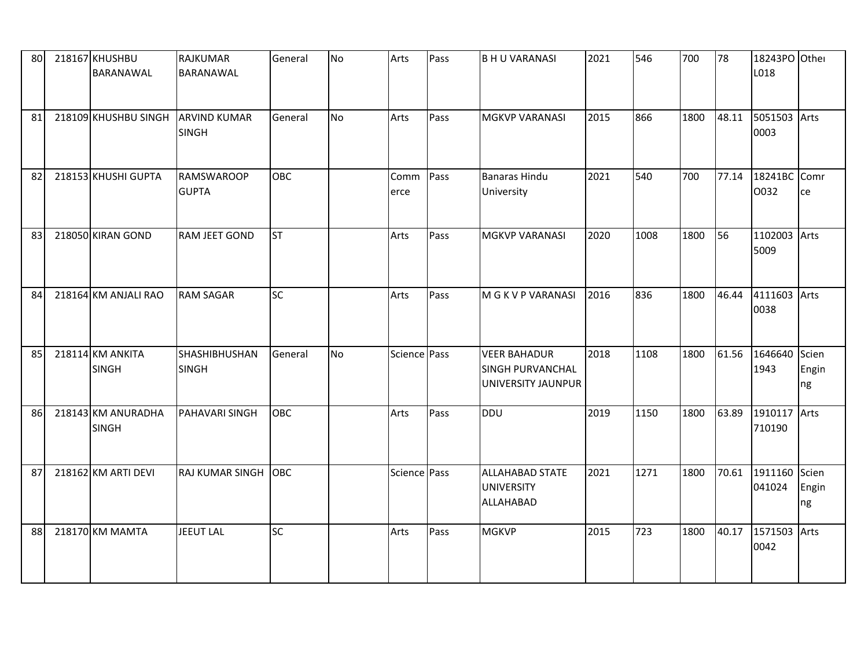| 80 | 218167 KHUSHBU<br><b>BARANAWAL</b> | <b>RAJKUMAR</b><br>BARANAWAL         | General    | <b>No</b> | Arts         | Pass | <b>BHU VARANASI</b>                                                  | 2021 | 546  | 700  | 78    | 18243PO Other<br>L018 |                      |
|----|------------------------------------|--------------------------------------|------------|-----------|--------------|------|----------------------------------------------------------------------|------|------|------|-------|-----------------------|----------------------|
| 81 | 218109 KHUSHBU SINGH ARVIND KUMAR  | <b>SINGH</b>                         | General    | <b>No</b> | Arts         | Pass | <b>MGKVP VARANASI</b>                                                | 2015 | 866  | 1800 | 48.11 | 5051503<br>0003       | Arts                 |
| 82 | 218153 KHUSHI GUPTA                | <b>RAMSWAROOP</b><br><b>GUPTA</b>    | <b>OBC</b> |           | Comm<br>erce | Pass | <b>Banaras Hindu</b><br>University                                   | 2021 | 540  | 700  | 77.14 | 18241BC Comr<br>0032  | ce                   |
| 83 | 218050 KIRAN GOND                  | <b>RAM JEET GOND</b>                 | <b>ST</b>  |           | Arts         | Pass | <b>MGKVP VARANASI</b>                                                | 2020 | 1008 | 1800 | 56    | 1102003<br>5009       | Arts                 |
| 84 | 218164 KM ANJALI RAO               | <b>RAM SAGAR</b>                     | <b>SC</b>  |           | Arts         | Pass | M G K V P VARANASI                                                   | 2016 | 836  | 1800 | 46.44 | 4111603 Arts<br>0038  |                      |
| 85 | 218114 KM ANKITA<br><b>SINGH</b>   | <b>SHASHIBHUSHAN</b><br><b>SINGH</b> | General    | <b>No</b> | Science Pass |      | <b>VEER BAHADUR</b><br><b>SINGH PURVANCHAL</b><br>UNIVERSITY JAUNPUR | 2018 | 1108 | 1800 | 61.56 | 1646640<br>1943       | Scien<br>Engin<br>ng |
| 86 | 218143 KM ANURADHA<br><b>SINGH</b> | PAHAVARI SINGH                       | <b>OBC</b> |           | Arts         | Pass | <b>DDU</b>                                                           | 2019 | 1150 | 1800 | 63.89 | 1910117<br>710190     | Arts                 |
| 87 | 218162 KM ARTI DEVI                | <b>RAJ KUMAR SINGH</b>               | OBC        |           | Science Pass |      | <b>ALLAHABAD STATE</b><br><b>UNIVERSITY</b><br>ALLAHABAD             | 2021 | 1271 | 1800 | 70.61 | 1911160<br>041024     | Scien<br>Engin<br>ng |
| 88 | 218170 KM MAMTA                    | JEEUT LAL                            | <b>SC</b>  |           | Arts         | Pass | <b>MGKVP</b>                                                         | 2015 | 723  | 1800 | 40.17 | 1571503<br>0042       | Arts                 |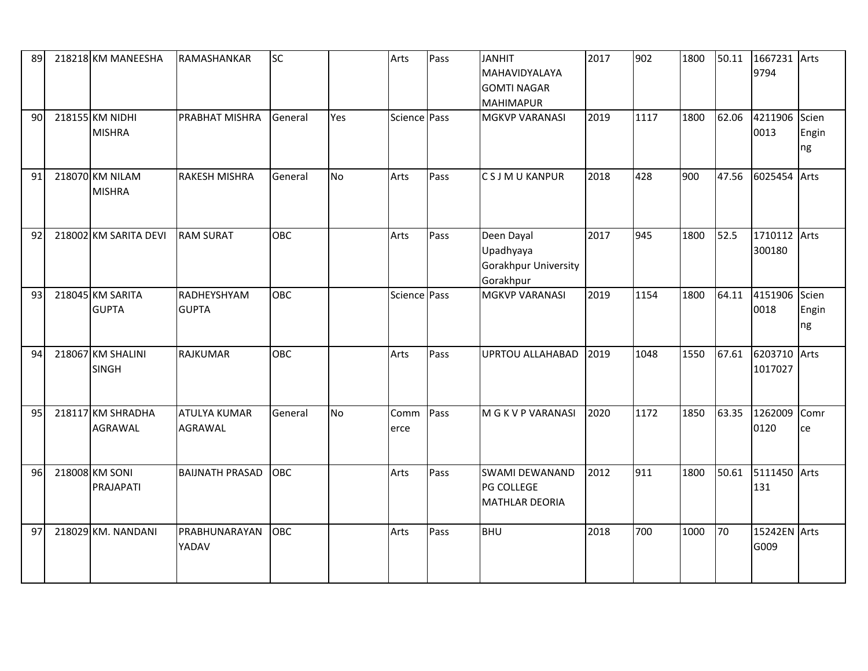| 89 | 218218 KM MANEESHA                  | RAMASHANKAR                           | <b>SC</b>  |           | Arts         | Pass | <b>JANHIT</b><br>MAHAVIDYALAYA<br><b>GOMTI NAGAR</b><br><b>MAHIMAPUR</b> | 2017 | 902  | 1800 | 50.11 | 1667231 Arts<br>9794 |                      |
|----|-------------------------------------|---------------------------------------|------------|-----------|--------------|------|--------------------------------------------------------------------------|------|------|------|-------|----------------------|----------------------|
| 90 | 218155 KM NIDHI<br><b>MISHRA</b>    | <b>PRABHAT MISHRA</b>                 | General    | Yes       | Science Pass |      | <b>MGKVP VARANASI</b>                                                    | 2019 | 1117 | 1800 | 62.06 | 4211906<br>0013      | Scien<br>Engin<br>ng |
| 91 | 218070 KM NILAM<br><b>MISHRA</b>    | <b>RAKESH MISHRA</b>                  | General    | <b>No</b> | Arts         | Pass | <b>CSJMUKANPUR</b>                                                       | 2018 | 428  | 900  | 47.56 | 6025454              | Arts                 |
| 92 | 218002 KM SARITA DEVI               | <b>RAM SURAT</b>                      | <b>OBC</b> |           | Arts         | Pass | Deen Dayal<br>Upadhyaya<br>Gorakhpur University<br>Gorakhpur             | 2017 | 945  | 1800 | 52.5  | 1710112<br>300180    | Arts                 |
| 93 | 218045 KM SARITA<br><b>GUPTA</b>    | RADHEYSHYAM<br><b>GUPTA</b>           | <b>OBC</b> |           | Science Pass |      | <b>MGKVP VARANASI</b>                                                    | 2019 | 1154 | 1800 | 64.11 | 4151906<br>0018      | Scien<br>Engin<br>ng |
| 94 | 218067 KM SHALINI<br><b>SINGH</b>   | <b>RAJKUMAR</b>                       | <b>OBC</b> |           | Arts         | Pass | <b>UPRTOU ALLAHABAD</b>                                                  | 2019 | 1048 | 1550 | 67.61 | 6203710<br>1017027   | Arts                 |
| 95 | 218117 KM SHRADHA<br><b>AGRAWAL</b> | <b>ATULYA KUMAR</b><br><b>AGRAWAL</b> | General    | <b>No</b> | Comm<br>erce | Pass | M G K V P VARANASI                                                       | 2020 | 1172 | 1850 | 63.35 | 1262009<br>0120      | Comr<br>ce           |
| 96 | 218008 KM SONI<br>PRAJAPATI         | <b>BAIJNATH PRASAD</b>                | <b>OBC</b> |           | Arts         | Pass | <b>SWAMI DEWANAND</b><br>PG COLLEGE<br><b>MATHLAR DEORIA</b>             | 2012 | 911  | 1800 | 50.61 | 5111450<br>131       | Arts                 |
| 97 | 218029 KM. NANDANI                  | PRABHUNARAYAN<br>YADAV                | <b>OBC</b> |           | Arts         | Pass | <b>BHU</b>                                                               | 2018 | 700  | 1000 | 70    | 15242EN Arts<br>G009 |                      |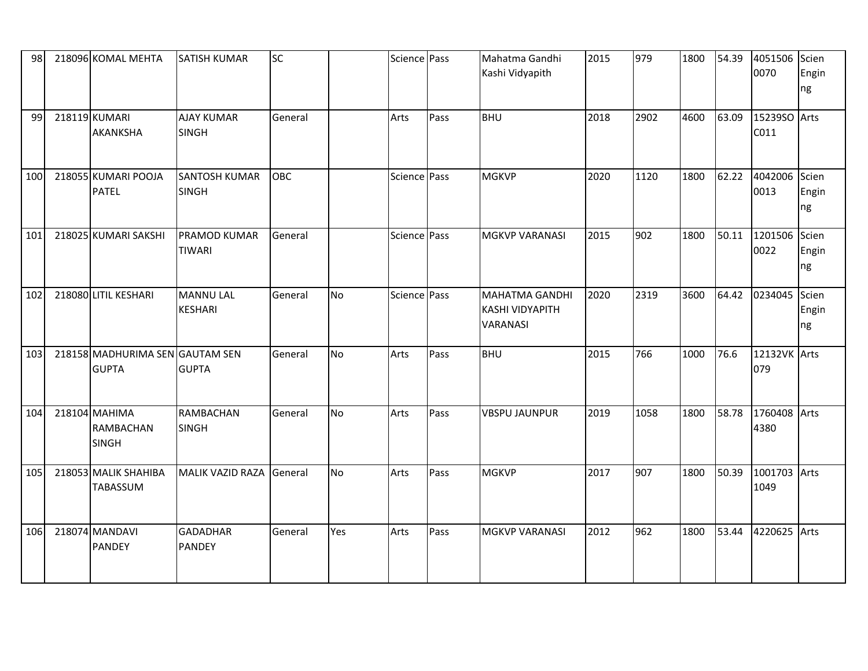| 98  | 218096 KOMAL MEHTA                                | <b>SATISH KUMAR</b>                  | <b>SC</b>  |           | Science Pass |      | Mahatma Gandhi<br>Kashi Vidyapith                                  | 2015 | 979  | 1800 | 54.39 | 4051506<br>0070       | Scien<br>Engin<br>ng |
|-----|---------------------------------------------------|--------------------------------------|------------|-----------|--------------|------|--------------------------------------------------------------------|------|------|------|-------|-----------------------|----------------------|
| 99  | 218119 KUMARI<br><b>AKANKSHA</b>                  | <b>AJAY KUMAR</b><br><b>SINGH</b>    | General    |           | Arts         | Pass | <b>BHU</b>                                                         | 2018 | 2902 | 4600 | 63.09 | 15239SO Arts<br>C011  |                      |
| 100 | 218055 KUMARI POOJA<br><b>PATEL</b>               | <b>SANTOSH KUMAR</b><br><b>SINGH</b> | <b>OBC</b> |           | Science Pass |      | <b>MGKVP</b>                                                       | 2020 | 1120 | 1800 | 62.22 | 4042006 Scien<br>0013 | Engin<br>ng          |
| 101 | 218025 KUMARI SAKSHI                              | <b>PRAMOD KUMAR</b><br><b>TIWARI</b> | General    |           | Science Pass |      | <b>MGKVP VARANASI</b>                                              | 2015 | 902  | 1800 | 50.11 | 1201506 Scien<br>0022 | Engin<br>ng          |
| 102 | 218080 LITIL KESHARI                              | <b>MANNU LAL</b><br><b>KESHARI</b>   | General    | <b>No</b> | Science Pass |      | <b>MAHATMA GANDHI</b><br><b>KASHI VIDYAPITH</b><br><b>VARANASI</b> | 2020 | 2319 | 3600 | 64.42 | 0234045               | Scien<br>Engin<br>ng |
| 103 | 218158 MADHURIMA SEN GAUTAM SEN<br><b>GUPTA</b>   | <b>GUPTA</b>                         | General    | <b>No</b> | Arts         | Pass | <b>BHU</b>                                                         | 2015 | 766  | 1000 | 76.6  | 12132VK Arts<br>079   |                      |
| 104 | 218104 MAHIMA<br><b>RAMBACHAN</b><br><b>SINGH</b> | <b>RAMBACHAN</b><br><b>SINGH</b>     | General    | <b>No</b> | Arts         | Pass | <b>VBSPU JAUNPUR</b>                                               | 2019 | 1058 | 1800 | 58.78 | 1760408 Arts<br>4380  |                      |
| 105 | 218053 MALIK SHAHIBA<br>TABASSUM                  | MALIK VAZID RAZA                     | General    | <b>No</b> | Arts         | Pass | <b>MGKVP</b>                                                       | 2017 | 907  | 1800 | 50.39 | 1001703 Arts<br>1049  |                      |
| 106 | 218074 MANDAVI<br><b>PANDEY</b>                   | <b>GADADHAR</b><br><b>PANDEY</b>     | General    | Yes       | Arts         | Pass | <b>MGKVP VARANASI</b>                                              | 2012 | 962  | 1800 | 53.44 | 4220625 Arts          |                      |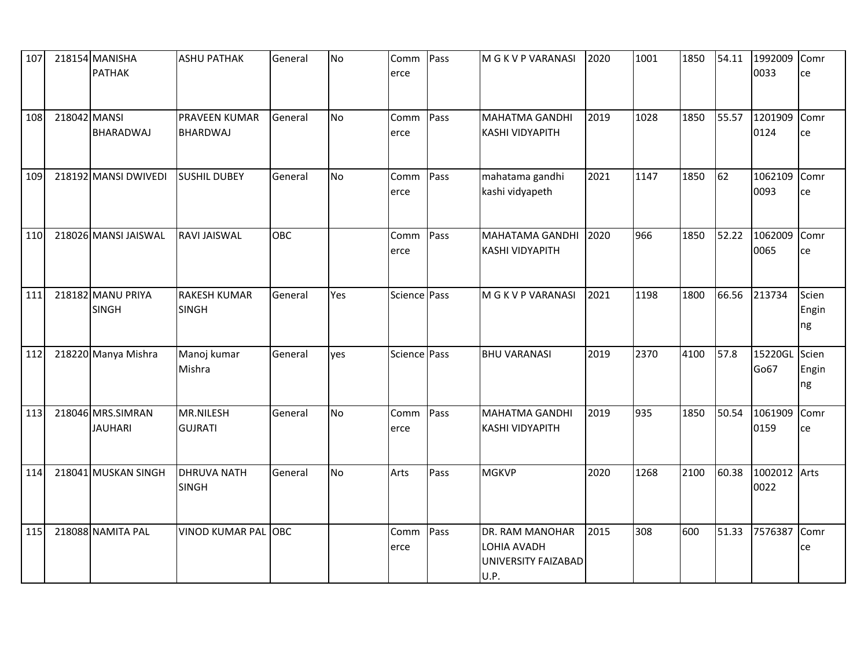| 107 |              | 218154 MANISHA<br><b>PATHAK</b>     | <b>ASHU PATHAK</b>                      | General    | No  | Comm<br>erce | Pass | M G K V P VARANASI                                            | 2020 | 1001 | 1850 | 54.11 | 1992009<br>0033 | Comr<br>ce           |
|-----|--------------|-------------------------------------|-----------------------------------------|------------|-----|--------------|------|---------------------------------------------------------------|------|------|------|-------|-----------------|----------------------|
| 108 | 218042 MANSI | <b>BHARADWAJ</b>                    | <b>PRAVEEN KUMAR</b><br><b>BHARDWAJ</b> | General    | No  | Comm<br>erce | Pass | <b>MAHATMA GANDHI</b><br><b>KASHI VIDYAPITH</b>               | 2019 | 1028 | 1850 | 55.57 | 1201909<br>0124 | Comr<br>ce           |
| 109 |              | 218192 MANSI DWIVEDI                | <b>SUSHIL DUBEY</b>                     | General    | No  | Comm<br>erce | Pass | mahatama gandhi<br>kashi vidyapeth                            | 2021 | 1147 | 1850 | 62    | 1062109<br>0093 | Comr<br>ce           |
| 110 |              | 218026 MANSI JAISWAL                | <b>RAVI JAISWAL</b>                     | OBC        |     | Comm<br>erce | Pass | <b>MAHATAMA GANDHI</b><br><b>KASHI VIDYAPITH</b>              | 2020 | 966  | 1850 | 52.22 | 1062009<br>0065 | Comr<br>ce           |
| 111 |              | 218182 MANU PRIYA<br><b>SINGH</b>   | <b>RAKESH KUMAR</b><br><b>SINGH</b>     | General    | Yes | Science Pass |      | M G K V P VARANASI                                            | 2021 | 1198 | 1800 | 66.56 | 213734          | Scien<br>Engin<br>ng |
| 112 |              | 218220 Manya Mishra                 | Manoj kumar<br>Mishra                   | General    | yes | Science Pass |      | <b>BHU VARANASI</b>                                           | 2019 | 2370 | 4100 | 57.8  | 15220GL<br>Go67 | Scien<br>Engin<br>ng |
| 113 |              | 218046 MRS.SIMRAN<br><b>JAUHARI</b> | MR.NILESH<br><b>GUJRATI</b>             | General    | No  | Comm<br>erce | Pass | MAHATMA GANDHI<br><b>KASHI VIDYAPITH</b>                      | 2019 | 935  | 1850 | 50.54 | 1061909<br>0159 | Comr<br>ce           |
| 114 |              | 218041 MUSKAN SINGH                 | <b>DHRUVA NATH</b><br><b>SINGH</b>      | General    | No  | Arts         | Pass | <b>MGKVP</b>                                                  | 2020 | 1268 | 2100 | 60.38 | 1002012<br>0022 | Arts                 |
| 115 |              | 218088 NAMITA PAL                   | <b>VINOD KUMAR PAL</b>                  | <b>OBC</b> |     | Comm<br>erce | Pass | DR. RAM MANOHAR<br>LOHIA AVADH<br>UNIVERSITY FAIZABAD<br>U.P. | 2015 | 308  | 600  | 51.33 | 7576387         | Comr<br>ce           |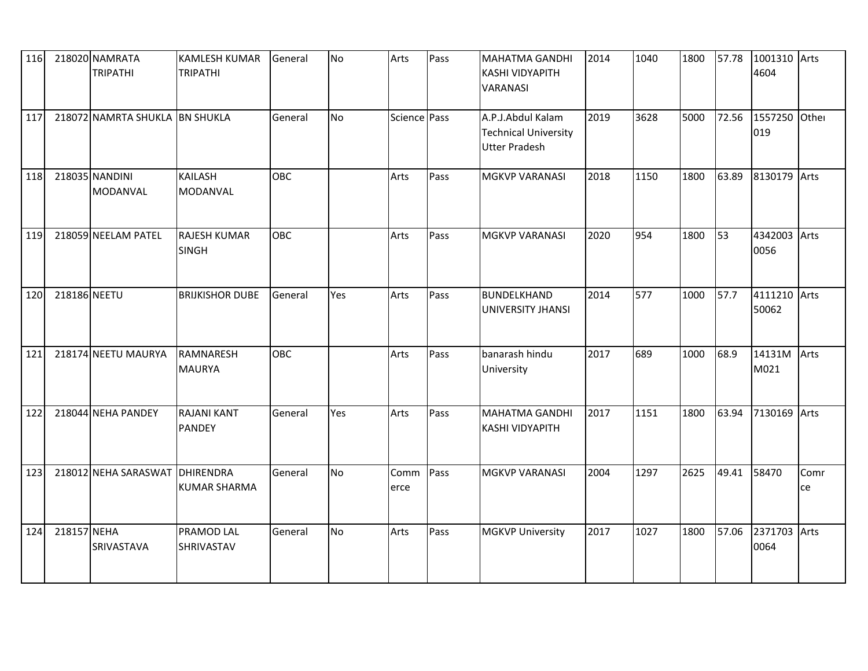| 116 |              | 218020 NAMRATA<br><b>TRIPATHI</b> | <b>KAMLESH KUMAR</b><br><b>TRIPATHI</b> | General    | No        | Arts         | Pass | <b>MAHATMA GANDHI</b><br><b>KASHI VIDYAPITH</b><br>VARANASI              | 2014 | 1040 | 1800 | 57.78 | 1001310 Arts<br>4604  |            |
|-----|--------------|-----------------------------------|-----------------------------------------|------------|-----------|--------------|------|--------------------------------------------------------------------------|------|------|------|-------|-----------------------|------------|
| 117 |              | 218072 NAMRTA SHUKLA BN SHUKLA    |                                         | General    | No        | Science Pass |      | A.P.J.Abdul Kalam<br><b>Technical University</b><br><b>Utter Pradesh</b> | 2019 | 3628 | 5000 | 72.56 | 1557250<br>019        | Other      |
| 118 |              | 218035 NANDINI<br><b>MODANVAL</b> | <b>KAILASH</b><br><b>MODANVAL</b>       | <b>OBC</b> |           | Arts         | Pass | <b>MGKVP VARANASI</b>                                                    | 2018 | 1150 | 1800 | 63.89 | 8130179 Arts          |            |
| 119 |              | 218059 NEELAM PATEL               | <b>RAJESH KUMAR</b><br><b>SINGH</b>     | <b>OBC</b> |           | Arts         | Pass | <b>MGKVP VARANASI</b>                                                    | 2020 | 954  | 1800 | 53    | 4342003<br>0056       | Arts       |
| 120 | 218186 NEETU |                                   | <b>BRIJKISHOR DUBE</b>                  | General    | Yes       | Arts         | Pass | <b>BUNDELKHAND</b><br><b>UNIVERSITY JHANSI</b>                           | 2014 | 577  | 1000 | 57.7  | 4111210 Arts<br>50062 |            |
| 121 |              | 218174 NEETU MAURYA               | RAMNARESH<br><b>MAURYA</b>              | <b>OBC</b> |           | Arts         | Pass | banarash hindu<br>University                                             | 2017 | 689  | 1000 | 68.9  | 14131M<br>M021        | Arts       |
| 122 |              | 218044 NEHA PANDEY                | <b>RAJANI KANT</b><br><b>PANDEY</b>     | General    | Yes       | Arts         | Pass | <b>MAHATMA GANDHI</b><br><b>KASHI VIDYAPITH</b>                          | 2017 | 1151 | 1800 | 63.94 | 7130169 Arts          |            |
| 123 |              | 218012 NEHA SARASWAT              | DHIRENDRA<br>KUMAR SHARMA               | General    | <b>No</b> | Comm<br>erce | Pass | <b>MGKVP VARANASI</b>                                                    | 2004 | 1297 | 2625 | 49.41 | 58470                 | Comr<br>ce |
| 124 | 218157 NEHA  | SRIVASTAVA                        | <b>PRAMOD LAL</b><br><b>SHRIVASTAV</b>  | General    | No        | Arts         | Pass | <b>MGKVP University</b>                                                  | 2017 | 1027 | 1800 | 57.06 | 2371703 Arts<br>0064  |            |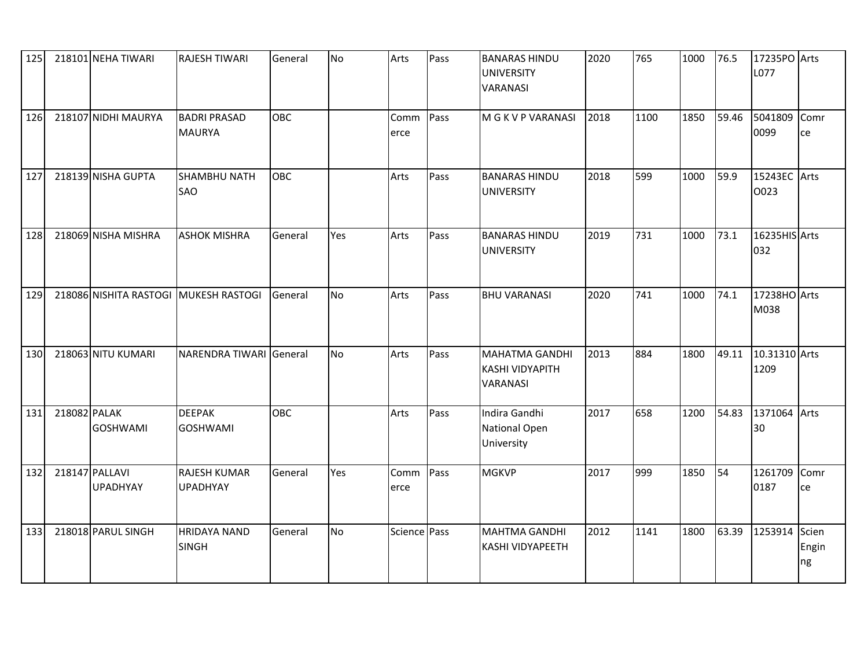| 125 |              | 218101 NEHA TIWARI                | RAJESH TIWARI                          | General    | No        | Arts         | Pass | <b>BANARAS HINDU</b><br><b>UNIVERSITY</b><br>VARANASI       | 2020 | 765  | 1000 | 76.5  | 17235PO Arts<br>L077  |             |
|-----|--------------|-----------------------------------|----------------------------------------|------------|-----------|--------------|------|-------------------------------------------------------------|------|------|------|-------|-----------------------|-------------|
| 126 |              | 218107 NIDHI MAURYA               | <b>BADRI PRASAD</b><br><b>MAURYA</b>   | <b>OBC</b> |           | Comm<br>erce | Pass | M G K V P VARANASI                                          | 2018 | 1100 | 1850 | 59.46 | 5041809<br>0099       | Comr<br>ce  |
| 127 |              | 218139 NISHA GUPTA                | SHAMBHU NATH<br>SAO                    | OBC        |           | Arts         | Pass | <b>BANARAS HINDU</b><br><b>UNIVERSITY</b>                   | 2018 | 599  | 1000 | 59.9  | 15243EC Arts<br>0023  |             |
| 128 |              | 218069 NISHA MISHRA               | <b>ASHOK MISHRA</b>                    | General    | Yes       | Arts         | Pass | <b>BANARAS HINDU</b><br><b>UNIVERSITY</b>                   | 2019 | 731  | 1000 | 73.1  | 16235HIS Arts<br>032  |             |
| 129 |              |                                   | 218086 NISHITA RASTOGI MUKESH RASTOGI  | General    | <b>No</b> | Arts         | Pass | <b>BHU VARANASI</b>                                         | 2020 | 741  | 1000 | 74.1  | 17238HO Arts<br>M038  |             |
| 130 |              | 218063 NITU KUMARI                | NARENDRA TIWARI General                |            | No        | Arts         | Pass | <b>MAHATMA GANDHI</b><br><b>KASHI VIDYAPITH</b><br>VARANASI | 2013 | 884  | 1800 | 49.11 | 10.31310 Arts<br>1209 |             |
| 131 | 218082 PALAK | <b>GOSHWAMI</b>                   | <b>DEEPAK</b><br><b>GOSHWAMI</b>       | OBC        |           | Arts         | Pass | Indira Gandhi<br>National Open<br>University                | 2017 | 658  | 1200 | 54.83 | 1371064 Arts<br>30    |             |
| 132 |              | 218147 PALLAVI<br><b>UPADHYAY</b> | <b>RAJESH KUMAR</b><br><b>UPADHYAY</b> | General    | Yes       | Comm<br>erce | Pass | <b>MGKVP</b>                                                | 2017 | 999  | 1850 | 54    | 1261709<br>0187       | Comr<br>ce  |
| 133 |              | 218018 PARUL SINGH                | <b>HRIDAYA NAND</b><br><b>SINGH</b>    | General    | No        | Science Pass |      | <b>MAHTMA GANDHI</b><br>KASHI VIDYAPEETH                    | 2012 | 1141 | 1800 | 63.39 | 1253914 Scien         | Engin<br>ng |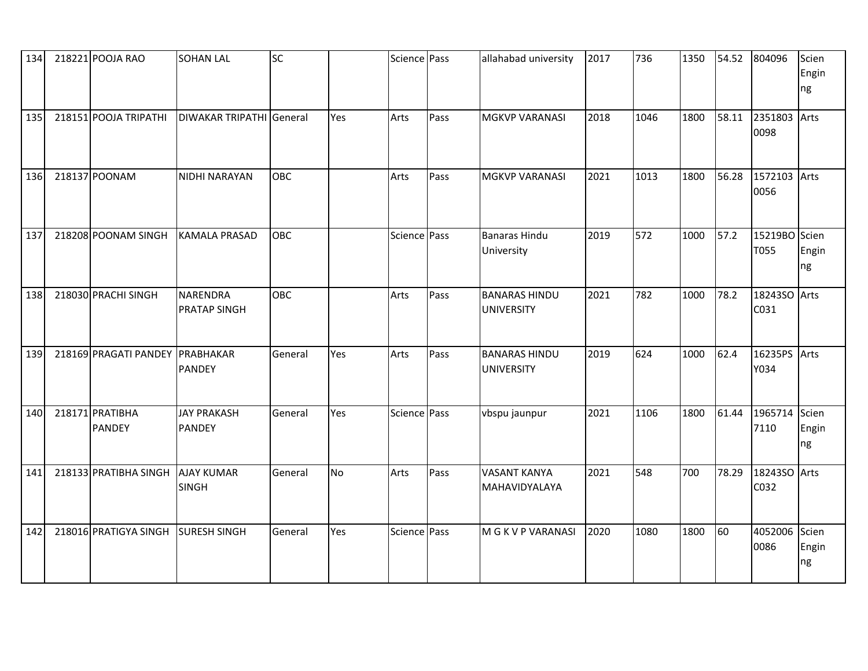| 134 | 218221 POOJA RAO                 | <b>SOHAN LAL</b>                       | SC      |           | Science Pass |      | allahabad university                      | 2017 | 736  | 1350 | 54.52 | 804096               | Scien<br>Engin<br>ng |
|-----|----------------------------------|----------------------------------------|---------|-----------|--------------|------|-------------------------------------------|------|------|------|-------|----------------------|----------------------|
| 135 | 218151 POOJA TRIPATHI            | DIWAKAR TRIPATHI General               |         | Yes       | Arts         | Pass | <b>MGKVP VARANASI</b>                     | 2018 | 1046 | 1800 | 58.11 | 2351803<br>0098      | Arts                 |
| 136 | 218137 POONAM                    | NIDHI NARAYAN                          | OBC     |           | Arts         | Pass | <b>MGKVP VARANASI</b>                     | 2021 | 1013 | 1800 | 56.28 | 1572103 Arts<br>0056 |                      |
| 137 | 218208 POONAM SINGH              | <b>KAMALA PRASAD</b>                   | OBC     |           | Science Pass |      | <b>Banaras Hindu</b><br>University        | 2019 | 572  | 1000 | 57.2  | 15219BO<br>T055      | Scien<br>Engin<br>ng |
| 138 | 218030 PRACHI SINGH              | <b>NARENDRA</b><br><b>PRATAP SINGH</b> | OBC     |           | Arts         | Pass | <b>BANARAS HINDU</b><br><b>UNIVERSITY</b> | 2021 | 782  | 1000 | 78.2  | 18243SO Arts<br>C031 |                      |
| 139 | 218169 PRAGATI PANDEY PRABHAKAR  | <b>PANDEY</b>                          | General | Yes       | Arts         | Pass | <b>BANARAS HINDU</b><br><b>UNIVERSITY</b> | 2019 | 624  | 1000 | 62.4  | 16235PS Arts<br>Y034 |                      |
| 140 | 218171 PRATIBHA<br><b>PANDEY</b> | <b>JAY PRAKASH</b><br><b>PANDEY</b>    | General | Yes       | Science Pass |      | vbspu jaunpur                             | 2021 | 1106 | 1800 | 61.44 | 1965714<br>7110      | Scien<br>Engin<br>ng |
| 141 | 218133 PRATIBHA SINGH            | <b>AJAY KUMAR</b><br><b>SINGH</b>      | General | <b>No</b> | Arts         | Pass | <b>VASANT KANYA</b><br>MAHAVIDYALAYA      | 2021 | 548  | 700  | 78.29 | 18243SO Arts<br>C032 |                      |
| 142 | 218016 PRATIGYA SINGH            | <b>SURESH SINGH</b>                    | General | Yes       | Science Pass |      | M G K V P VARANASI                        | 2020 | 1080 | 1800 | 60    | 4052006<br>0086      | Scien<br>Engin<br>ng |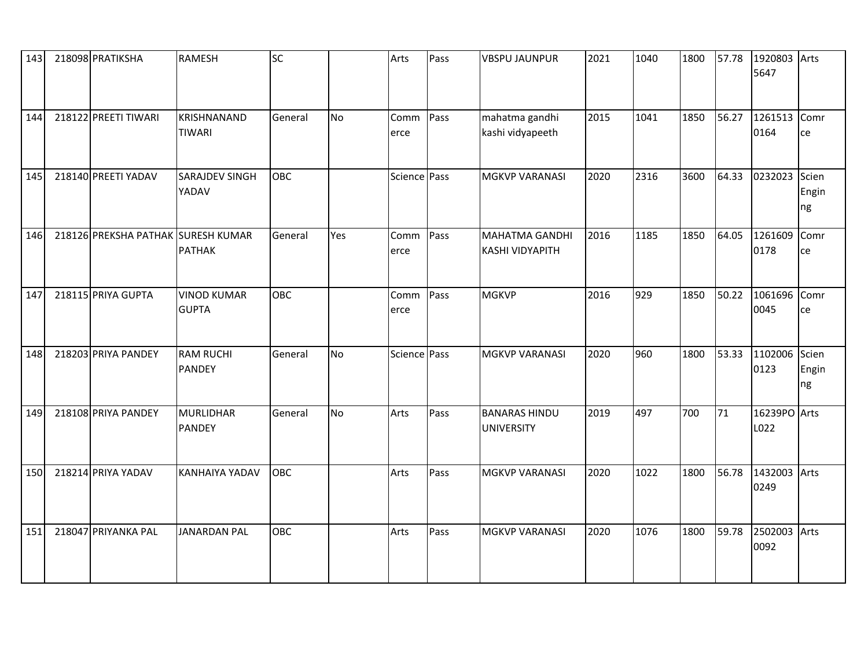| 143 | 218098 PRATIKSHA                   | <b>RAMESH</b>                      | <b>SC</b> |           | Arts         | Pass | <b>VBSPU JAUNPUR</b>                            | 2021 | 1040 | 1800 | 57.78 | 1920803 Arts<br>5647 |                      |
|-----|------------------------------------|------------------------------------|-----------|-----------|--------------|------|-------------------------------------------------|------|------|------|-------|----------------------|----------------------|
| 144 | 218122 PREETI TIWARI               | KRISHNANAND<br><b>TIWARI</b>       | General   | <b>No</b> | Comm<br>erce | Pass | mahatma gandhi<br>kashi vidyapeeth              | 2015 | 1041 | 1850 | 56.27 | 1261513 Comr<br>0164 | ce                   |
| 145 | 218140 PREETI YADAV                | <b>SARAJDEV SINGH</b><br>YADAV     | OBC       |           | Science Pass |      | <b>MGKVP VARANASI</b>                           | 2020 | 2316 | 3600 | 64.33 | 0232023 Scien        | Engin<br>ng          |
| 146 | 218126 PREKSHA PATHAK SURESH KUMAR | <b>PATHAK</b>                      | General   | Yes       | Comm<br>erce | Pass | <b>MAHATMA GANDHI</b><br><b>KASHI VIDYAPITH</b> | 2016 | 1185 | 1850 | 64.05 | 1261609<br>0178      | Comr<br>ce           |
| 147 | 218115 PRIYA GUPTA                 | <b>VINOD KUMAR</b><br><b>GUPTA</b> | OBC       |           | Comm<br>erce | Pass | <b>MGKVP</b>                                    | 2016 | 929  | 1850 | 50.22 | 1061696<br>0045      | Comr<br>ce           |
| 148 | 218203 PRIYA PANDEY                | <b>RAM RUCHI</b><br><b>PANDEY</b>  | General   | No        | Science Pass |      | <b>MGKVP VARANASI</b>                           | 2020 | 960  | 1800 | 53.33 | 1102006<br>0123      | Scien<br>Engin<br>ng |
| 149 | 218108 PRIYA PANDEY                | <b>MURLIDHAR</b><br><b>PANDEY</b>  | General   | No        | Arts         | Pass | <b>BANARAS HINDU</b><br><b>UNIVERSITY</b>       | 2019 | 497  | 700  | 71    | 16239PO Arts<br>L022 |                      |
| 150 | 218214 PRIYA YADAV                 | <b>KANHAIYA YADAV</b>              | OBC       |           | Arts         | Pass | <b>MGKVP VARANASI</b>                           | 2020 | 1022 | 1800 | 56.78 | 1432003 Arts<br>0249 |                      |
| 151 | 218047 PRIYANKA PAL                | <b>JANARDAN PAL</b>                | OBC       |           | Arts         | Pass | <b>MGKVP VARANASI</b>                           | 2020 | 1076 | 1800 | 59.78 | 2502003 Arts<br>0092 |                      |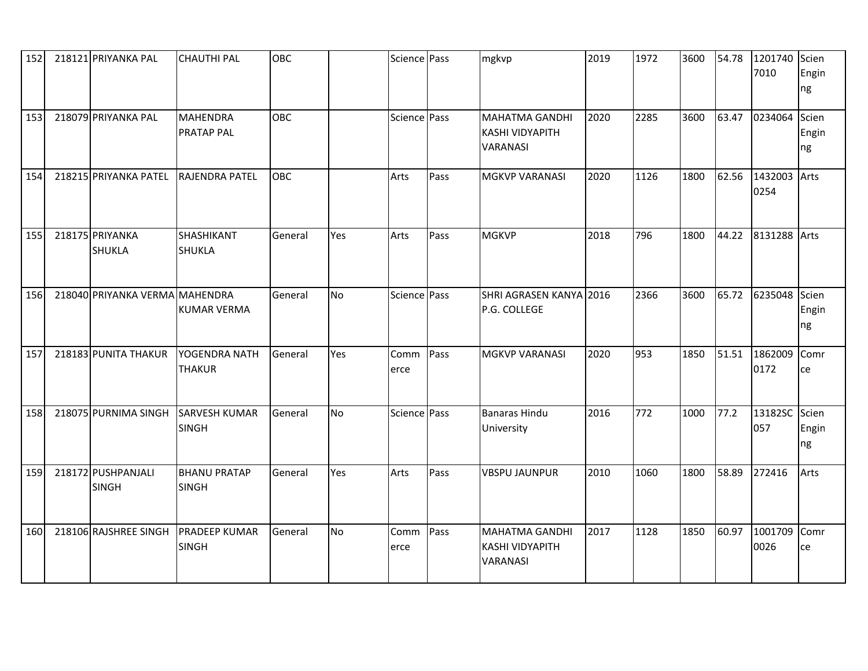| 152 | 218121 PRIYANKA PAL                | <b>CHAUTHI PAL</b>                   | <b>OBC</b> |           | Science Pass |      | mgkvp                                                              | 2019 | 1972 | 3600 | 54.78 | 1201740<br>7010      | Scien<br>Engin<br>ng |
|-----|------------------------------------|--------------------------------------|------------|-----------|--------------|------|--------------------------------------------------------------------|------|------|------|-------|----------------------|----------------------|
| 153 | 218079 PRIYANKA PAL                | <b>MAHENDRA</b><br><b>PRATAP PAL</b> | OBC        |           | Science Pass |      | <b>MAHATMA GANDHI</b><br><b>KASHI VIDYAPITH</b><br><b>VARANASI</b> | 2020 | 2285 | 3600 | 63.47 | 0234064              | Scien<br>Engin<br>ng |
| 154 | 218215 PRIYANKA PATEL              | RAJENDRA PATEL                       | <b>OBC</b> |           | Arts         | Pass | <b>MGKVP VARANASI</b>                                              | 2020 | 1126 | 1800 | 62.56 | 1432003 Arts<br>0254 |                      |
| 155 | 218175 PRIYANKA<br><b>SHUKLA</b>   | SHASHIKANT<br><b>SHUKLA</b>          | General    | Yes       | Arts         | Pass | <b>MGKVP</b>                                                       | 2018 | 796  | 1800 | 44.22 | 8131288 Arts         |                      |
| 156 | 218040 PRIYANKA VERMA MAHENDRA     | KUMAR VERMA                          | General    | <b>No</b> | Science Pass |      | SHRI AGRASEN KANYA 2016<br>P.G. COLLEGE                            |      | 2366 | 3600 | 65.72 | 6235048              | Scien<br>Engin<br>ng |
| 157 | 218183 PUNITA THAKUR               | YOGENDRA NATH<br><b>THAKUR</b>       | General    | Yes       | Comm<br>erce | Pass | <b>MGKVP VARANASI</b>                                              | 2020 | 953  | 1850 | 51.51 | 1862009<br>0172      | Comr<br>ce           |
| 158 | 218075 PURNIMA SINGH               | <b>SARVESH KUMAR</b><br><b>SINGH</b> | General    | <b>No</b> | Science Pass |      | Banaras Hindu<br>University                                        | 2016 | 772  | 1000 | 77.2  | 13182SC Scien<br>057 | Engin<br>ng          |
| 159 | 218172 PUSHPANJALI<br><b>SINGH</b> | <b>BHANU PRATAP</b><br><b>SINGH</b>  | General    | Yes       | Arts         | Pass | <b>VBSPU JAUNPUR</b>                                               | 2010 | 1060 | 1800 | 58.89 | 272416               | Arts                 |
| 160 | 218106 RAJSHREE SINGH              | <b>PRADEEP KUMAR</b><br><b>SINGH</b> | General    | <b>No</b> | Comm<br>erce | Pass | <b>MAHATMA GANDHI</b><br><b>KASHI VIDYAPITH</b><br><b>VARANASI</b> | 2017 | 1128 | 1850 | 60.97 | 1001709<br>0026      | Comr<br>ce           |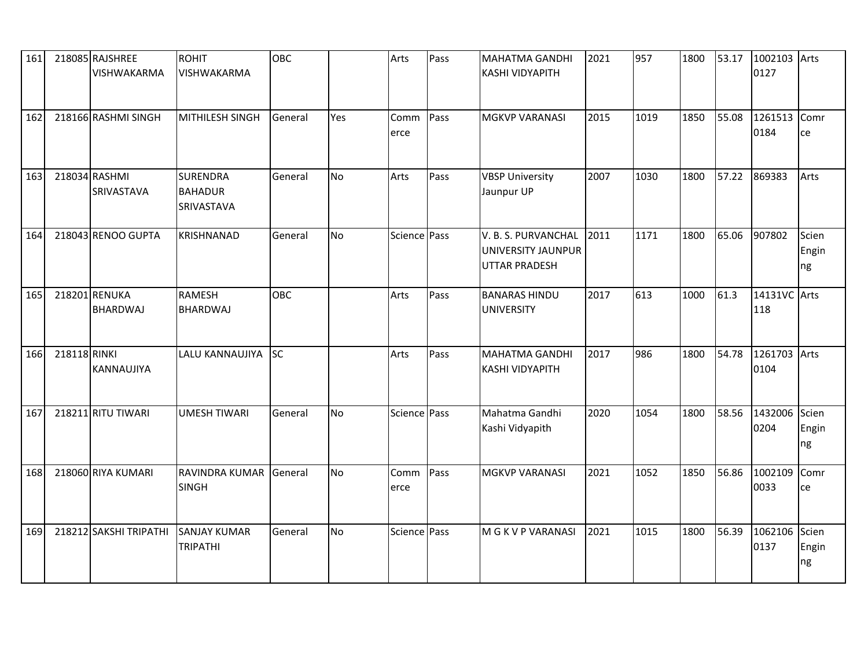| 161 |              | 218085 RAJSHREE<br>VISHWAKARMA   | <b>ROHIT</b><br>VISHWAKARMA                     | OBC       |                | Arts         | Pass | <b>MAHATMA GANDHI</b><br><b>KASHI VIDYAPITH</b>                   | 2021 | 957  | 1800 | 53.17 | 1002103<br>0127      | Arts                 |
|-----|--------------|----------------------------------|-------------------------------------------------|-----------|----------------|--------------|------|-------------------------------------------------------------------|------|------|------|-------|----------------------|----------------------|
| 162 |              | 218166 RASHMI SINGH              | MITHILESH SINGH                                 | General   | Yes            | Comm<br>erce | Pass | <b>MGKVP VARANASI</b>                                             | 2015 | 1019 | 1850 | 55.08 | 1261513<br>0184      | Comr<br>ce           |
| 163 |              | 218034 RASHMI<br>SRIVASTAVA      | <b>SURENDRA</b><br><b>BAHADUR</b><br>SRIVASTAVA | General   | N <sub>o</sub> | Arts         | Pass | <b>VBSP University</b><br>Jaunpur UP                              | 2007 | 1030 | 1800 | 57.22 | 869383               | Arts                 |
| 164 |              | 218043 RENOO GUPTA               | <b>KRISHNANAD</b>                               | General   | <b>No</b>      | Science Pass |      | V. B. S. PURVANCHAL<br>UNIVERSITY JAUNPUR<br><b>UTTAR PRADESH</b> | 2011 | 1171 | 1800 | 65.06 | 907802               | Scien<br>Engin<br>ng |
| 165 |              | 218201 RENUKA<br><b>BHARDWAJ</b> | <b>RAMESH</b><br><b>BHARDWAJ</b>                | OBC       |                | Arts         | Pass | <b>BANARAS HINDU</b><br><b>UNIVERSITY</b>                         | 2017 | 613  | 1000 | 61.3  | 14131VC Arts<br>118  |                      |
| 166 | 218118 RINKI | KANNAUJIYA                       | LALU KANNAUJIYA                                 | <b>SC</b> |                | Arts         | Pass | <b>MAHATMA GANDHI</b><br><b>KASHI VIDYAPITH</b>                   | 2017 | 986  | 1800 | 54.78 | 1261703 Arts<br>0104 |                      |
| 167 |              | 218211 RITU TIWARI               | <b>UMESH TIWARI</b>                             | General   | N <sub>o</sub> | Science Pass |      | Mahatma Gandhi<br>Kashi Vidyapith                                 | 2020 | 1054 | 1800 | 58.56 | 1432006<br>0204      | Scien<br>Engin<br>ng |
| 168 |              | 218060 RIYA KUMARI               | RAVINDRA KUMAR<br><b>SINGH</b>                  | General   | <b>No</b>      | Comm<br>erce | Pass | <b>MGKVP VARANASI</b>                                             | 2021 | 1052 | 1850 | 56.86 | 1002109<br>0033      | Comr<br>ce           |
| 169 |              | 218212 SAKSHI TRIPATHI           | <b>SANJAY KUMAR</b><br><b>TRIPATHI</b>          | General   | No             | Science Pass |      | M G K V P VARANASI                                                | 2021 | 1015 | 1800 | 56.39 | 1062106<br>0137      | Scien<br>Engin<br>ng |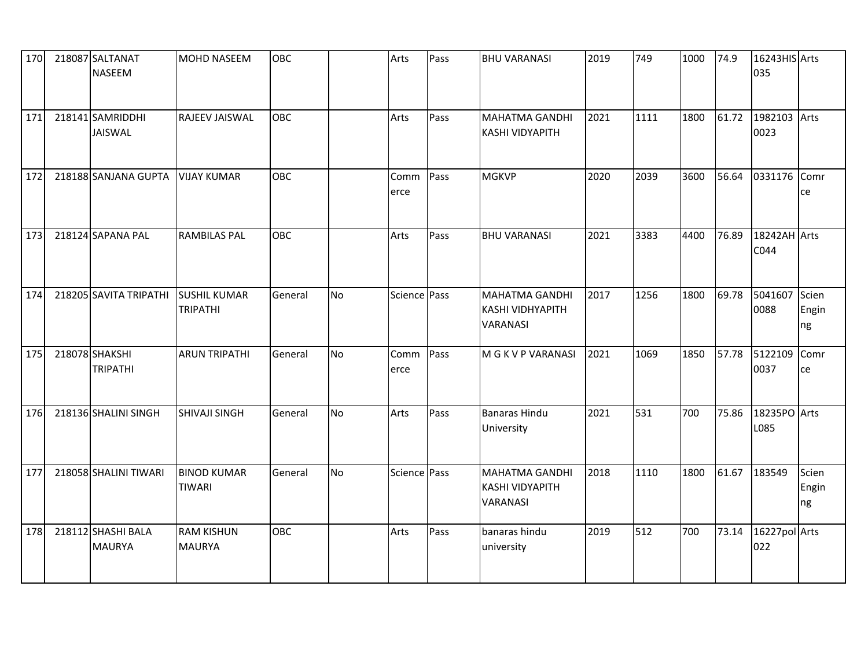| 170 | 218087 SALTANAT<br><b>NASEEM</b>    | <b>MOHD NASEEM</b>                     | <b>OBC</b> |           | Arts         | Pass | <b>BHU VARANASI</b>                                         | 2019 | 749  | 1000 | 74.9  | 16243HIS Arts<br>035 |                      |
|-----|-------------------------------------|----------------------------------------|------------|-----------|--------------|------|-------------------------------------------------------------|------|------|------|-------|----------------------|----------------------|
| 171 | 218141 SAMRIDDHI<br><b>JAISWAL</b>  | RAJEEV JAISWAL                         | OBC        |           | Arts         | Pass | <b>MAHATMA GANDHI</b><br><b>KASHI VIDYAPITH</b>             | 2021 | 1111 | 1800 | 61.72 | 1982103<br>0023      | Arts                 |
| 172 | 218188 SANJANA GUPTA   VIJAY KUMAR  |                                        | <b>OBC</b> |           | Comm<br>erce | Pass | <b>MGKVP</b>                                                | 2020 | 2039 | 3600 | 56.64 | 0331176              | Comr<br>ce           |
| 173 | 218124 SAPANA PAL                   | <b>RAMBILAS PAL</b>                    | OBC        |           | Arts         | Pass | <b>BHU VARANASI</b>                                         | 2021 | 3383 | 4400 | 76.89 | 18242AH Arts<br>C044 |                      |
| 174 | 218205 SAVITA TRIPATHI              | <b>SUSHIL KUMAR</b><br><b>TRIPATHI</b> | General    | <b>No</b> | Science Pass |      | <b>MAHATMA GANDHI</b><br>KASHI VIDHYAPITH<br>VARANASI       | 2017 | 1256 | 1800 | 69.78 | 5041607<br>0088      | Scien<br>Engin<br>ng |
| 175 | 218078 SHAKSHI<br><b>TRIPATHI</b>   | <b>ARUN TRIPATHI</b>                   | General    | No        | Comm<br>erce | Pass | M G K V P VARANASI                                          | 2021 | 1069 | 1850 | 57.78 | 5122109<br>0037      | Comr<br>ce           |
| 176 | 218136 SHALINI SINGH                | <b>SHIVAJI SINGH</b>                   | General    | No        | Arts         | Pass | <b>Banaras Hindu</b><br>University                          | 2021 | 531  | 700  | 75.86 | 18235PO Arts<br>L085 |                      |
| 177 | 218058 SHALINI TIWARI               | <b>BINOD KUMAR</b><br><b>TIWARI</b>    | General    | No        | Science Pass |      | <b>MAHATMA GANDHI</b><br><b>KASHI VIDYAPITH</b><br>VARANASI | 2018 | 1110 | 1800 | 61.67 | 183549               | Scien<br>Engin<br>ng |
| 178 | 218112 SHASHI BALA<br><b>MAURYA</b> | <b>RAM KISHUN</b><br><b>MAURYA</b>     | OBC        |           | Arts         | Pass | banaras hindu<br>university                                 | 2019 | 512  | 700  | 73.14 | 16227pol Arts<br>022 |                      |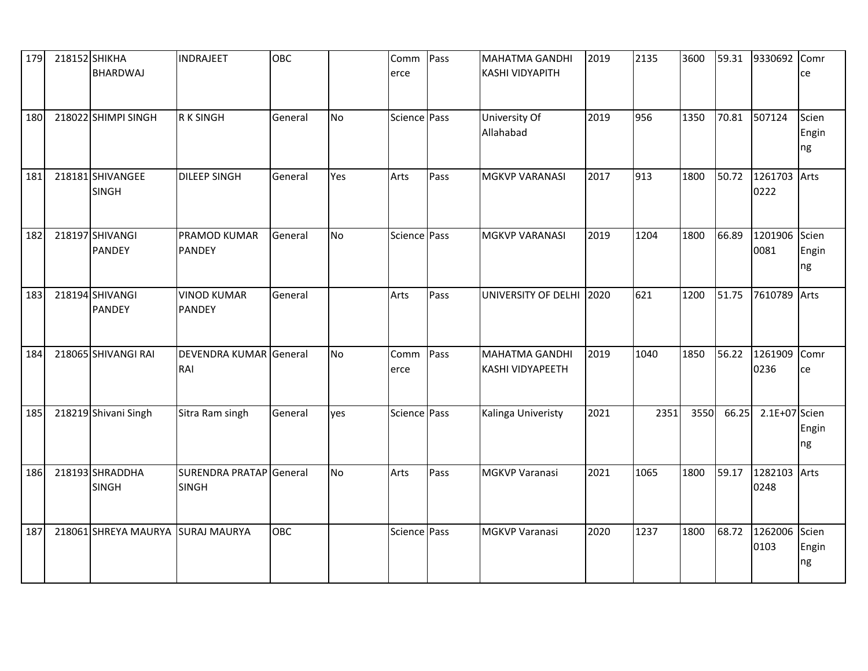| 179 | 218152 SHIKHA<br><b>BHARDWAJ</b>  | <b>INDRAJEET</b>                        | OBC     |           | Comm<br>erce | Pass | <b>MAHATMA GANDHI</b><br><b>KASHI VIDYAPITH</b>  | 2019 | 2135 | 3600 | 59.31 | 9330692 Comr          | ce                   |
|-----|-----------------------------------|-----------------------------------------|---------|-----------|--------------|------|--------------------------------------------------|------|------|------|-------|-----------------------|----------------------|
| 180 | 218022 SHIMPI SINGH               | <b>RK SINGH</b>                         | General | No        | Science Pass |      | University Of<br>Allahabad                       | 2019 | 956  | 1350 | 70.81 | 507124                | Scien<br>Engin<br>ng |
| 181 | 218181 SHIVANGEE<br><b>SINGH</b>  | <b>DILEEP SINGH</b>                     | General | Yes       | Arts         | Pass | <b>MGKVP VARANASI</b>                            | 2017 | 913  | 1800 | 50.72 | 1261703 Arts<br>0222  |                      |
| 182 | 218197 SHIVANGI<br><b>PANDEY</b>  | PRAMOD KUMAR<br><b>PANDEY</b>           | General | <b>No</b> | Science Pass |      | <b>MGKVP VARANASI</b>                            | 2019 | 1204 | 1800 | 66.89 | 1201906 Scien<br>0081 | Engin<br>ng          |
| 183 | 218194 SHIVANGI<br><b>PANDEY</b>  | <b>VINOD KUMAR</b><br><b>PANDEY</b>     | General |           | Arts         | Pass | UNIVERSITY OF DELHI                              | 2020 | 621  | 1200 | 51.75 | 7610789 Arts          |                      |
| 184 | 218065 SHIVANGI RAI               | DEVENDRA KUMAR General<br>RAI           |         | No        | Comm<br>erce | Pass | <b>MAHATMA GANDHI</b><br><b>KASHI VIDYAPEETH</b> | 2019 | 1040 | 1850 | 56.22 | 1261909 Comr<br>0236  | ce                   |
| 185 | 218219 Shivani Singh              | Sitra Ram singh                         | General | yes       | Science Pass |      | Kalinga Univeristy                               | 2021 | 2351 | 3550 | 66.25 | 2.1E+07 Scien         | Engin<br>ng          |
| 186 | 218193 SHRADDHA<br><b>SINGH</b>   | SURENDRA PRATAP General<br><b>SINGH</b> |         | <b>No</b> | Arts         | Pass | <b>MGKVP Varanasi</b>                            | 2021 | 1065 | 1800 | 59.17 | 1282103 Arts<br>0248  |                      |
| 187 | 218061 SHREYA MAURYA SURAJ MAURYA |                                         | OBC     |           | Science Pass |      | <b>MGKVP Varanasi</b>                            | 2020 | 1237 | 1800 | 68.72 | 1262006 Scien<br>0103 | Engin<br>ng          |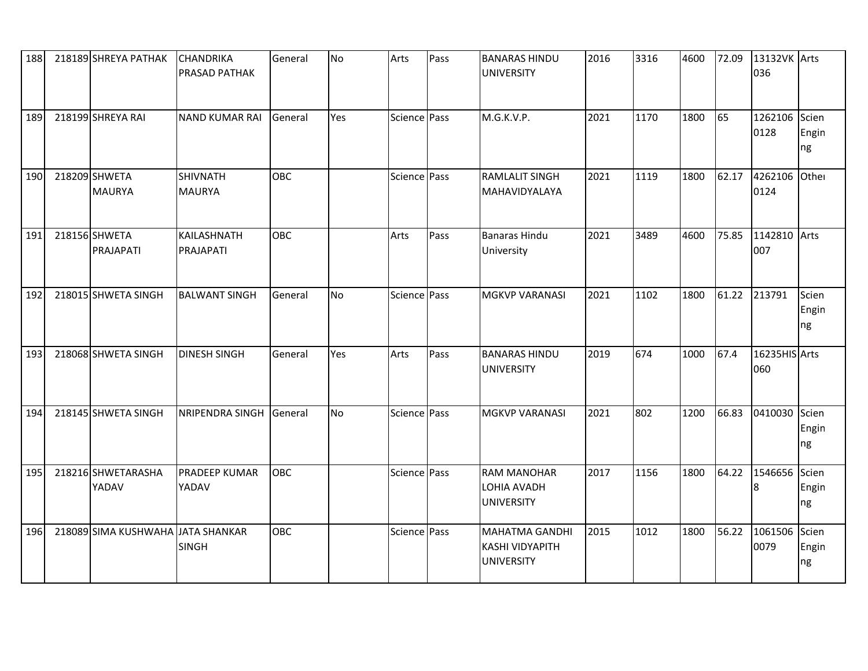| 188 | 218189 SHREYA PATHAK              | <b>CHANDRIKA</b><br>PRASAD PATHAK | General    | No        | Arts         | Pass | <b>BANARAS HINDU</b><br><b>UNIVERSITY</b>                            | 2016 | 3316 | 4600 | 72.09 | 13132VK Arts<br>036   |                      |
|-----|-----------------------------------|-----------------------------------|------------|-----------|--------------|------|----------------------------------------------------------------------|------|------|------|-------|-----------------------|----------------------|
| 189 | 218199 SHREYA RAI                 | <b>NAND KUMAR RAI</b>             | General    | Yes       | Science Pass |      | M.G.K.V.P.                                                           | 2021 | 1170 | 1800 | 65    | 1262106<br>0128       | Scien<br>Engin<br>ng |
| 190 | 218209 SHWETA<br><b>MAURYA</b>    | <b>SHIVNATH</b><br><b>MAURYA</b>  | <b>OBC</b> |           | Science Pass |      | <b>RAMLALIT SINGH</b><br>MAHAVIDYALAYA                               | 2021 | 1119 | 1800 | 62.17 | 4262106 Other<br>0124 |                      |
| 191 | 218156 SHWETA<br>PRAJAPATI        | KAILASHNATH<br>PRAJAPATI          | OBC        |           | Arts         | Pass | <b>Banaras Hindu</b><br>University                                   | 2021 | 3489 | 4600 | 75.85 | 1142810 Arts<br>007   |                      |
| 192 | 218015 SHWETA SINGH               | <b>BALWANT SINGH</b>              | General    | <b>No</b> | Science Pass |      | <b>MGKVP VARANASI</b>                                                | 2021 | 1102 | 1800 | 61.22 | 213791                | Scien<br>Engin<br>ng |
| 193 | 218068 SHWETA SINGH               | <b>DINESH SINGH</b>               | General    | Yes       | Arts         | Pass | <b>BANARAS HINDU</b><br><b>UNIVERSITY</b>                            | 2019 | 674  | 1000 | 67.4  | 16235HIS Arts<br>060  |                      |
| 194 | 218145 SHWETA SINGH               | <b>NRIPENDRA SINGH</b>            | General    | <b>No</b> | Science Pass |      | <b>MGKVP VARANASI</b>                                                | 2021 | 802  | 1200 | 66.83 | 0410030 Scien         | Engin<br>ng          |
| 195 | 218216 SHWETARASHA<br>YADAV       | <b>PRADEEP KUMAR</b><br>YADAV     | <b>OBC</b> |           | Science Pass |      | <b>RAM MANOHAR</b><br>LOHIA AVADH<br><b>UNIVERSITY</b>               | 2017 | 1156 | 1800 | 64.22 | 1546656<br>18         | Scien<br>Engin<br>ng |
| 196 | 218089 SIMA KUSHWAHA JATA SHANKAR | <b>SINGH</b>                      | OBC        |           | Science Pass |      | <b>MAHATMA GANDHI</b><br><b>KASHI VIDYAPITH</b><br><b>UNIVERSITY</b> | 2015 | 1012 | 1800 | 56.22 | 1061506 Scien<br>0079 | Engin<br>ng          |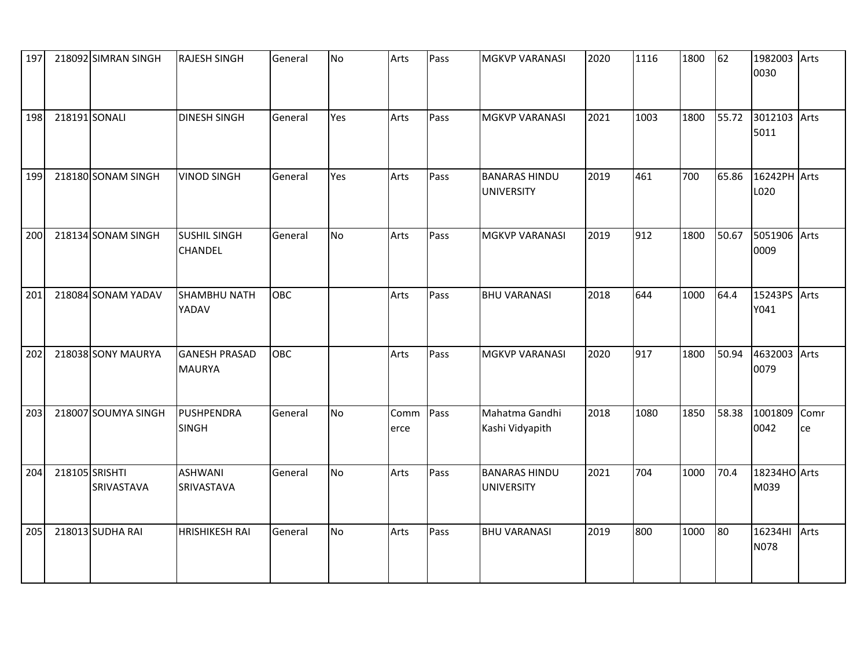| 197 | 218092 SIMRAN SINGH                 | <b>RAJESH SINGH</b>                   | General | No        | Arts         | Pass | <b>MGKVP VARANASI</b>                     | 2020 | 1116 | 1800 | 62    | 1982003<br>0030      | Arts       |
|-----|-------------------------------------|---------------------------------------|---------|-----------|--------------|------|-------------------------------------------|------|------|------|-------|----------------------|------------|
| 198 | 218191 SONALI                       | <b>DINESH SINGH</b>                   | General | Yes       | Arts         | Pass | <b>MGKVP VARANASI</b>                     | 2021 | 1003 | 1800 | 55.72 | 3012103 Arts<br>5011 |            |
| 199 | 218180 SONAM SINGH                  | <b>VINOD SINGH</b>                    | General | Yes       | Arts         | Pass | <b>BANARAS HINDU</b><br><b>UNIVERSITY</b> | 2019 | 461  | 700  | 65.86 | 16242PH Arts<br>L020 |            |
| 200 | 218134 SONAM SINGH                  | <b>SUSHIL SINGH</b><br><b>CHANDEL</b> | General | <b>No</b> | Arts         | Pass | MGKVP VARANASI                            | 2019 | 912  | 1800 | 50.67 | 5051906 Arts<br>0009 |            |
| 201 | 218084 SONAM YADAV                  | SHAMBHU NATH<br>YADAV                 | OBC     |           | Arts         | Pass | <b>BHU VARANASI</b>                       | 2018 | 644  | 1000 | 64.4  | 15243PS<br>Y041      | Arts       |
| 202 | 218038 SONY MAURYA                  | <b>GANESH PRASAD</b><br><b>MAURYA</b> | OBC     |           | Arts         | Pass | <b>MGKVP VARANASI</b>                     | 2020 | 917  | 1800 | 50.94 | 4632003 Arts<br>0079 |            |
| 203 | 218007 SOUMYA SINGH                 | PUSHPENDRA<br>SINGH                   | General | No        | Comm<br>erce | Pass | Mahatma Gandhi<br>Kashi Vidyapith         | 2018 | 1080 | 1850 | 58.38 | 1001809<br>0042      | Comr<br>ce |
| 204 | 218105 SRISHTI<br><b>SRIVASTAVA</b> | <b>ASHWANI</b><br>SRIVASTAVA          | General | No        | Arts         | Pass | <b>BANARAS HINDU</b><br><b>UNIVERSITY</b> | 2021 | 704  | 1000 | 70.4  | 18234HO Arts<br>M039 |            |
| 205 | 218013 SUDHA RAI                    | <b>HRISHIKESH RAI</b>                 | General | No        | Arts         | Pass | <b>BHU VARANASI</b>                       | 2019 | 800  | 1000 | 80    | 16234HI<br>N078      | Arts       |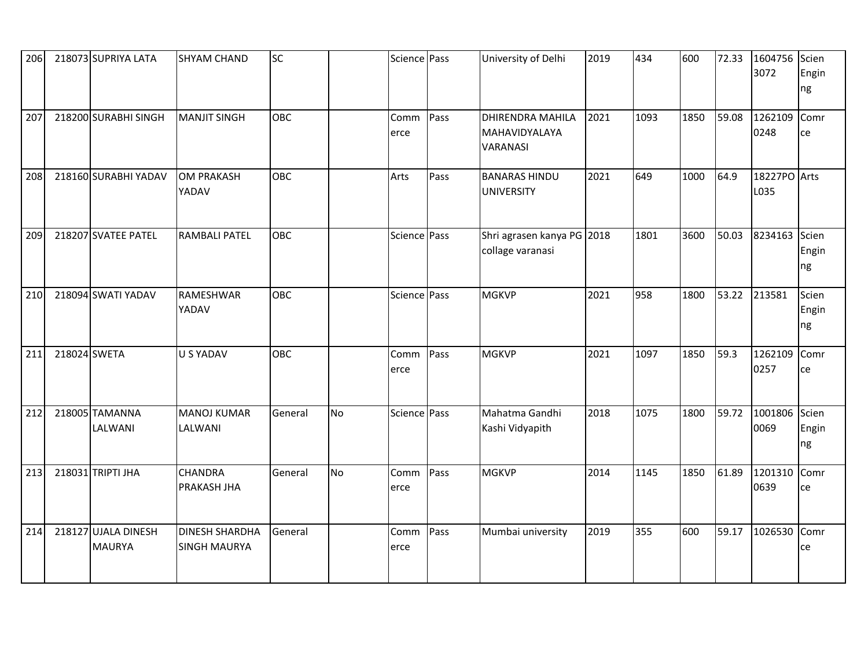| 206 |              | 218073 SUPRIYA LATA                  | <b>SHYAM CHAND</b>                           | <b>SC</b> |           | Science Pass |      | University of Delhi                                  | 2019 | 434  | 600  | 72.33 | 1604756<br>3072       | Scien<br>Engin<br>ng |
|-----|--------------|--------------------------------------|----------------------------------------------|-----------|-----------|--------------|------|------------------------------------------------------|------|------|------|-------|-----------------------|----------------------|
| 207 |              | 218200 SURABHI SINGH                 | <b>MANJIT SINGH</b>                          | OBC       |           | Comm<br>erce | Pass | <b>DHIRENDRA MAHILA</b><br>MAHAVIDYALAYA<br>VARANASI | 2021 | 1093 | 1850 | 59.08 | 1262109<br>0248       | Comr<br>ce           |
| 208 |              | 218160 SURABHI YADAV                 | <b>OM PRAKASH</b><br>YADAV                   | OBC       |           | Arts         | Pass | <b>BANARAS HINDU</b><br><b>UNIVERSITY</b>            | 2021 | 649  | 1000 | 64.9  | 18227PO Arts<br>L035  |                      |
| 209 |              | 218207 SVATEE PATEL                  | <b>RAMBALI PATEL</b>                         | OBC       |           | Science Pass |      | Shri agrasen kanya PG 2018<br>collage varanasi       |      | 1801 | 3600 | 50.03 | 8234163 Scien         | Engin<br>ng          |
| 210 |              | 218094 SWATI YADAV                   | <b>RAMESHWAR</b><br>YADAV                    | OBC       |           | Science Pass |      | <b>MGKVP</b>                                         | 2021 | 958  | 1800 | 53.22 | 213581                | Scien<br>Engin<br>ng |
| 211 | 218024 SWETA |                                      | <b>U S YADAV</b>                             | OBC       |           | Comm<br>erce | Pass | <b>MGKVP</b>                                         | 2021 | 1097 | 1850 | 59.3  | 1262109<br>0257       | Comr<br>ce           |
| 212 |              | 218005 TAMANNA<br>LALWANI            | <b>MANOJ KUMAR</b><br>LALWANI                | General   | <b>No</b> | Science Pass |      | Mahatma Gandhi<br>Kashi Vidyapith                    | 2018 | 1075 | 1800 | 59.72 | 1001806 Scien<br>0069 | Engin<br>ng          |
| 213 |              | 218031 TRIPTI JHA                    | <b>CHANDRA</b><br>PRAKASH JHA                | General   | <b>No</b> | Comm<br>erce | Pass | <b>MGKVP</b>                                         | 2014 | 1145 | 1850 | 61.89 | 1201310<br>0639       | Comr<br>ce           |
| 214 | 218127       | <b>UJALA DINESH</b><br><b>MAURYA</b> | <b>DINESH SHARDHA</b><br><b>SINGH MAURYA</b> | General   |           | Comm<br>erce | Pass | Mumbai university                                    | 2019 | 355  | 600  | 59.17 | 1026530               | Comr<br>ce           |